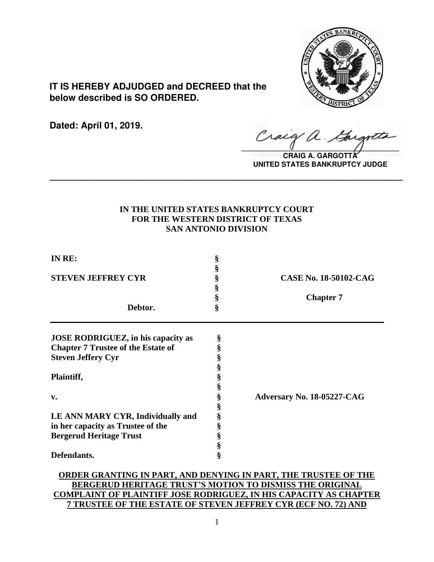

**IT IS HEREBY ADJUDGED and DECREED that the below described is SO ORDERED.**

**Dated: April 01, 2019.**

Cracq a.

**CRAIG A. GARGOTT UNITED STATES BANKRUPTCY JUDGE**

# **IN THE UNITED STATES BANKRUPTCY COURT FOR THE WESTERN DISTRICT OF TEXAS SAN ANTONIO DIVISION**

**\_\_\_\_\_\_\_\_\_\_\_\_\_\_\_\_\_\_\_\_\_\_\_\_\_\_\_\_\_\_\_\_\_\_\_\_\_\_\_\_\_\_\_\_\_\_\_\_\_\_\_\_\_\_\_\_\_\_\_\_\_\_\_\_**

| IN RE:                                    | §<br>§ |                              |
|-------------------------------------------|--------|------------------------------|
| <b>STEVEN JEFFREY CYR</b>                 | §      | <b>CASE No. 18-50102-CAG</b> |
|                                           | §      |                              |
|                                           | §      | <b>Chapter 7</b>             |
| Debtor.                                   | ş      |                              |
| <b>JOSE RODRIGUEZ, in his capacity as</b> | §      |                              |
| <b>Chapter 7 Trustee of the Estate of</b> | §      |                              |
| <b>Steven Jeffery Cyr</b>                 | §      |                              |
|                                           | §      |                              |
| Plaintiff,                                | §      |                              |
|                                           | §      |                              |
| v.                                        | §      | Adversary No. 18-05227-CAG   |
|                                           | §      |                              |
| LE ANN MARY CYR, Individually and         |        |                              |
| in her capacity as Trustee of the         | §<br>§ |                              |
| <b>Bergerud Heritage Trust</b>            | §      |                              |
|                                           | $\S$   |                              |
| Defendants.                               | §      |                              |
|                                           |        |                              |

# **ORDER GRANTING IN PART, AND DENYING IN PART, THE TRUSTEE OF THE BERGERUD HERITAGE TRUST'S MOTION TO DISMISS THE ORIGINAL COMPLAINT OF PLAINTIFF JOSE RODRIGUEZ, IN HIS CAPACITY AS CHAPTER 7 TRUSTEE OF THE ESTATE OF STEVEN JEFFREY CYR (ECF NO. 72) AND**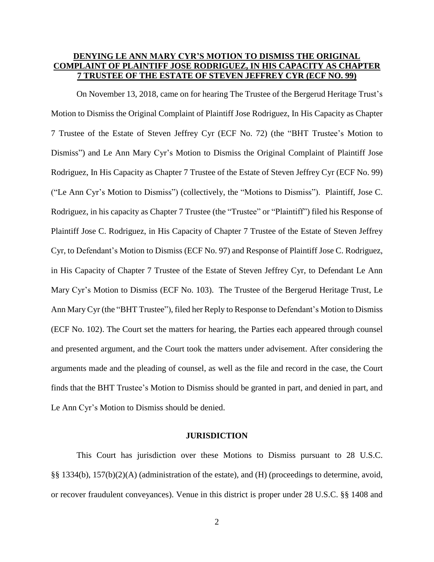# **DENYING LE ANN MARY CYR'S MOTION TO DISMISS THE ORIGINAL COMPLAINT OF PLAINTIFF JOSE RODRIGUEZ, IN HIS CAPACITY AS CHAPTER 7 TRUSTEE OF THE ESTATE OF STEVEN JEFFREY CYR (ECF NO. 99)**

On November 13, 2018, came on for hearing The Trustee of the Bergerud Heritage Trust's Motion to Dismiss the Original Complaint of Plaintiff Jose Rodriguez, In His Capacity as Chapter 7 Trustee of the Estate of Steven Jeffrey Cyr (ECF No. 72) (the "BHT Trustee's Motion to Dismiss") and Le Ann Mary Cyr's Motion to Dismiss the Original Complaint of Plaintiff Jose Rodriguez, In His Capacity as Chapter 7 Trustee of the Estate of Steven Jeffrey Cyr (ECF No. 99) ("Le Ann Cyr's Motion to Dismiss") (collectively, the "Motions to Dismiss"). Plaintiff, Jose C. Rodriguez, in his capacity as Chapter 7 Trustee (the "Trustee" or "Plaintiff") filed his Response of Plaintiff Jose C. Rodriguez, in His Capacity of Chapter 7 Trustee of the Estate of Steven Jeffrey Cyr, to Defendant's Motion to Dismiss (ECF No. 97) and Response of Plaintiff Jose C. Rodriguez, in His Capacity of Chapter 7 Trustee of the Estate of Steven Jeffrey Cyr, to Defendant Le Ann Mary Cyr's Motion to Dismiss (ECF No. 103). The Trustee of the Bergerud Heritage Trust, Le Ann Mary Cyr (the "BHT Trustee"), filed her Reply to Response to Defendant's Motion to Dismiss (ECF No. 102). The Court set the matters for hearing, the Parties each appeared through counsel and presented argument, and the Court took the matters under advisement. After considering the arguments made and the pleading of counsel, as well as the file and record in the case, the Court finds that the BHT Trustee's Motion to Dismiss should be granted in part, and denied in part, and Le Ann Cyr's Motion to Dismiss should be denied.

#### **JURISDICTION**

This Court has jurisdiction over these Motions to Dismiss pursuant to 28 U.S.C. §§ 1334(b), 157(b)(2)(A) (administration of the estate), and (H) (proceedings to determine, avoid, or recover fraudulent conveyances). Venue in this district is proper under 28 U.S.C. §§ 1408 and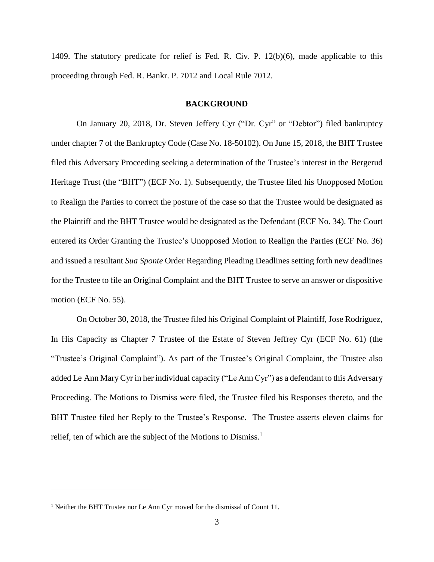1409. The statutory predicate for relief is Fed. R. Civ. P. 12(b)(6), made applicable to this proceeding through Fed. R. Bankr. P. 7012 and Local Rule 7012.

#### **BACKGROUND**

On January 20, 2018, Dr. Steven Jeffery Cyr ("Dr. Cyr" or "Debtor") filed bankruptcy under chapter 7 of the Bankruptcy Code (Case No. 18-50102). On June 15, 2018, the BHT Trustee filed this Adversary Proceeding seeking a determination of the Trustee's interest in the Bergerud Heritage Trust (the "BHT") (ECF No. 1). Subsequently, the Trustee filed his Unopposed Motion to Realign the Parties to correct the posture of the case so that the Trustee would be designated as the Plaintiff and the BHT Trustee would be designated as the Defendant (ECF No. 34). The Court entered its Order Granting the Trustee's Unopposed Motion to Realign the Parties (ECF No. 36) and issued a resultant *Sua Sponte* Order Regarding Pleading Deadlines setting forth new deadlines for the Trustee to file an Original Complaint and the BHT Trustee to serve an answer or dispositive motion (ECF No. 55).

On October 30, 2018, the Trustee filed his Original Complaint of Plaintiff, Jose Rodriguez, In His Capacity as Chapter 7 Trustee of the Estate of Steven Jeffrey Cyr (ECF No. 61) (the "Trustee's Original Complaint"). As part of the Trustee's Original Complaint, the Trustee also added Le Ann Mary Cyr in her individual capacity ("Le Ann Cyr") as a defendant to this Adversary Proceeding. The Motions to Dismiss were filed, the Trustee filed his Responses thereto, and the BHT Trustee filed her Reply to the Trustee's Response. The Trustee asserts eleven claims for relief, ten of which are the subject of the Motions to Dismiss.<sup>1</sup>

<sup>&</sup>lt;sup>1</sup> Neither the BHT Trustee nor Le Ann Cyr moved for the dismissal of Count 11.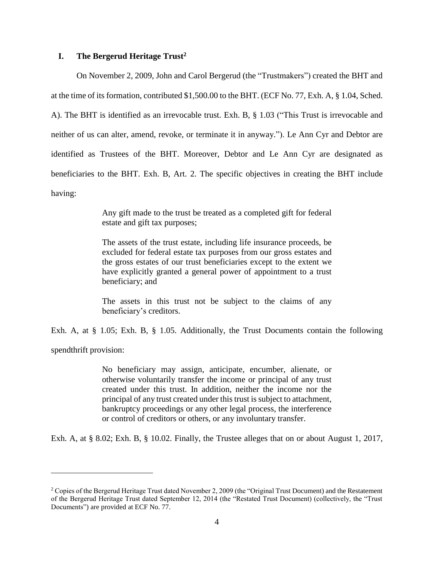# **I. The Bergerud Heritage Trust<sup>2</sup>**

On November 2, 2009, John and Carol Bergerud (the "Trustmakers") created the BHT and at the time of its formation, contributed \$1,500.00 to the BHT. (ECF No. 77, Exh. A, § 1.04, Sched. A). The BHT is identified as an irrevocable trust. Exh. B, § 1.03 ("This Trust is irrevocable and neither of us can alter, amend, revoke, or terminate it in anyway."). Le Ann Cyr and Debtor are identified as Trustees of the BHT. Moreover, Debtor and Le Ann Cyr are designated as beneficiaries to the BHT. Exh. B, Art. 2. The specific objectives in creating the BHT include having:

> Any gift made to the trust be treated as a completed gift for federal estate and gift tax purposes;

> The assets of the trust estate, including life insurance proceeds, be excluded for federal estate tax purposes from our gross estates and the gross estates of our trust beneficiaries except to the extent we have explicitly granted a general power of appointment to a trust beneficiary; and

> The assets in this trust not be subject to the claims of any beneficiary's creditors.

Exh. A, at § 1.05; Exh. B, § 1.05. Additionally, the Trust Documents contain the following

spendthrift provision:

 $\overline{a}$ 

No beneficiary may assign, anticipate, encumber, alienate, or otherwise voluntarily transfer the income or principal of any trust created under this trust. In addition, neither the income nor the principal of any trust created under this trust is subject to attachment, bankruptcy proceedings or any other legal process, the interference or control of creditors or others, or any involuntary transfer.

Exh. A, at § 8.02; Exh. B, § 10.02. Finally, the Trustee alleges that on or about August 1, 2017,

<sup>&</sup>lt;sup>2</sup> Copies of the Bergerud Heritage Trust dated November 2, 2009 (the "Original Trust Document) and the Restatement of the Bergerud Heritage Trust dated September 12, 2014 (the "Restated Trust Document) (collectively, the "Trust Documents") are provided at ECF No. 77.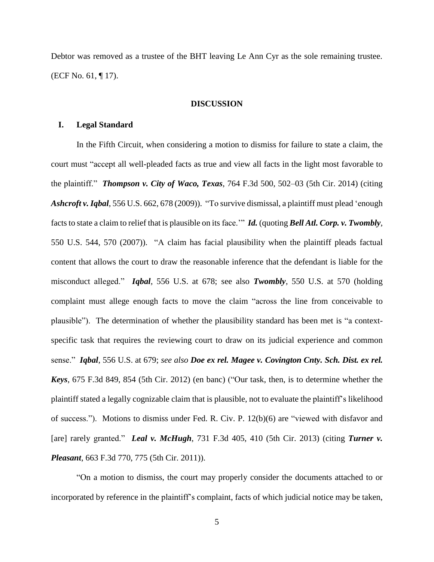Debtor was removed as a trustee of the BHT leaving Le Ann Cyr as the sole remaining trustee. (ECF No. 61, ¶ 17).

#### **DISCUSSION**

# **I. Legal Standard**

In the Fifth Circuit, when considering a motion to dismiss for failure to state a claim, the court must "accept all well-pleaded facts as true and view all facts in the light most favorable to the plaintiff." *Thompson v. City of Waco, Texas*, 764 F.3d 500, 502–03 (5th Cir. 2014) (citing *Ashcroft v.Iqbal*, 556 U.S. 662, 678 (2009)). "To survive dismissal, a plaintiff must plead 'enough factsto state a claim to relief that is plausible on its face.'" *Id.* (quoting *Bell Atl. Corp. v. Twombly*, 550 U.S. 544, 570 (2007)). "A claim has facial plausibility when the plaintiff pleads factual content that allows the court to draw the reasonable inference that the defendant is liable for the misconduct alleged." *Iqbal*, 556 U.S. at 678; see also *Twombly*, 550 U.S. at 570 (holding complaint must allege enough facts to move the claim "across the line from conceivable to plausible"). The determination of whether the plausibility standard has been met is "a contextspecific task that requires the reviewing court to draw on its judicial experience and common sense." *Iqbal*, 556 U.S. at 679; *see also Doe ex rel. Magee v. Covington Cnty. Sch. Dist. ex rel. Keys*, 675 F.3d 849, 854 (5th Cir. 2012) (en banc) ("Our task, then, is to determine whether the plaintiff stated a legally cognizable claim that is plausible, not to evaluate the plaintiff's likelihood of success."). Motions to dismiss under Fed. R. Civ. P. 12(b)(6) are "viewed with disfavor and [are] rarely granted." *Leal v. McHugh*, 731 F.3d 405, 410 (5th Cir. 2013) (citing *Turner v. Pleasant*, 663 F.3d 770, 775 (5th Cir. 2011)).

"On a motion to dismiss, the court may properly consider the documents attached to or incorporated by reference in the plaintiff's complaint, facts of which judicial notice may be taken,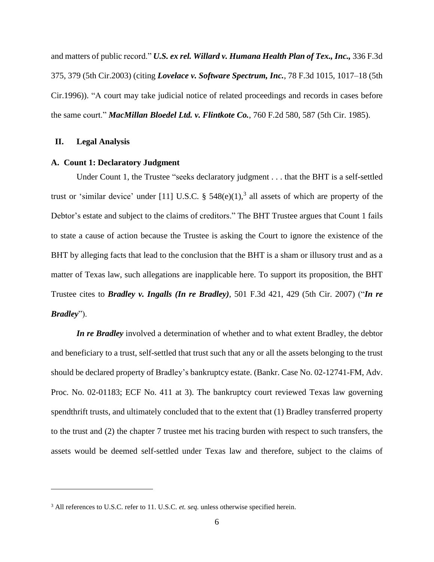and matters of public record." *U.S. ex rel. Willard v. Humana Health Plan of Tex., Inc.,* 336 F.3d 375, 379 (5th Cir.2003) (citing *Lovelace v. Software Spectrum, Inc.*, 78 F.3d 1015, 1017–18 (5th Cir.1996)). "A court may take judicial notice of related proceedings and records in cases before the same court." *MacMillan Bloedel Ltd. v. Flintkote Co.*, 760 F.2d 580, 587 (5th Cir. 1985).

### **II. Legal Analysis**

 $\overline{a}$ 

### **A. Count 1: Declaratory Judgment**

Under Count 1, the Trustee "seeks declaratory judgment . . . that the BHT is a self-settled trust or 'similar device' under [11] U.S.C.  $\S$  548(e)(1),<sup>3</sup> all assets of which are property of the Debtor's estate and subject to the claims of creditors." The BHT Trustee argues that Count 1 fails to state a cause of action because the Trustee is asking the Court to ignore the existence of the BHT by alleging facts that lead to the conclusion that the BHT is a sham or illusory trust and as a matter of Texas law, such allegations are inapplicable here. To support its proposition, the BHT Trustee cites to *Bradley v. Ingalls (In re Bradley)*, 501 F.3d 421, 429 (5th Cir. 2007) ("*In re Bradley*").

*In re Bradley* involved a determination of whether and to what extent Bradley, the debtor and beneficiary to a trust, self-settled that trust such that any or all the assets belonging to the trust should be declared property of Bradley's bankruptcy estate. (Bankr. Case No. 02-12741-FM, Adv. Proc. No. 02-01183; ECF No. 411 at 3). The bankruptcy court reviewed Texas law governing spendthrift trusts, and ultimately concluded that to the extent that (1) Bradley transferred property to the trust and (2) the chapter 7 trustee met his tracing burden with respect to such transfers, the assets would be deemed self-settled under Texas law and therefore, subject to the claims of

<sup>3</sup> All references to U.S.C. refer to 11. U.S.C. *et. seq.* unless otherwise specified herein.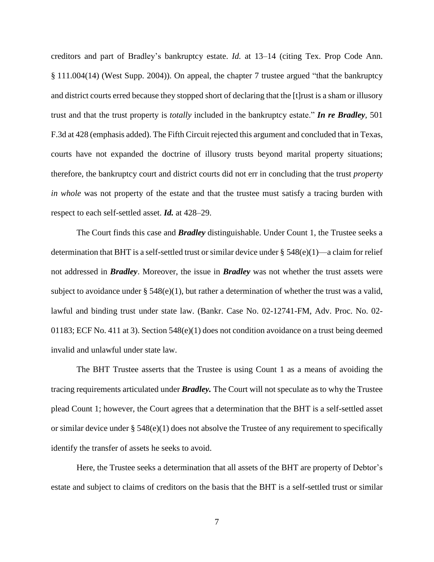creditors and part of Bradley's bankruptcy estate. *Id.* at 13–14 (citing Tex. Prop Code Ann. § 111.004(14) (West Supp. 2004)). On appeal, the chapter 7 trustee argued "that the bankruptcy and district courts erred because they stopped short of declaring that the [t]rust is a sham or illusory trust and that the trust property is *totally* included in the bankruptcy estate." *In re Bradley*, 501 F.3d at 428 (emphasis added). The Fifth Circuit rejected this argument and concluded that in Texas, courts have not expanded the doctrine of illusory trusts beyond marital property situations; therefore, the bankruptcy court and district courts did not err in concluding that the trust *property in whole* was not property of the estate and that the trustee must satisfy a tracing burden with respect to each self-settled asset. *Id.* at 428–29.

The Court finds this case and *Bradley* distinguishable. Under Count 1, the Trustee seeks a determination that BHT is a self-settled trust or similar device under  $\S$  548(e)(1)—a claim for relief not addressed in *Bradley*. Moreover, the issue in *Bradley* was not whether the trust assets were subject to avoidance under §  $548(e)(1)$ , but rather a determination of whether the trust was a valid, lawful and binding trust under state law. (Bankr. Case No. 02-12741-FM, Adv. Proc. No. 02- 01183; ECF No. 411 at 3). Section 548(e)(1) does not condition avoidance on a trust being deemed invalid and unlawful under state law.

The BHT Trustee asserts that the Trustee is using Count 1 as a means of avoiding the tracing requirements articulated under *Bradley.* The Court will not speculate as to why the Trustee plead Count 1; however, the Court agrees that a determination that the BHT is a self-settled asset or similar device under  $\S 548(e)(1)$  does not absolve the Trustee of any requirement to specifically identify the transfer of assets he seeks to avoid.

Here, the Trustee seeks a determination that all assets of the BHT are property of Debtor's estate and subject to claims of creditors on the basis that the BHT is a self-settled trust or similar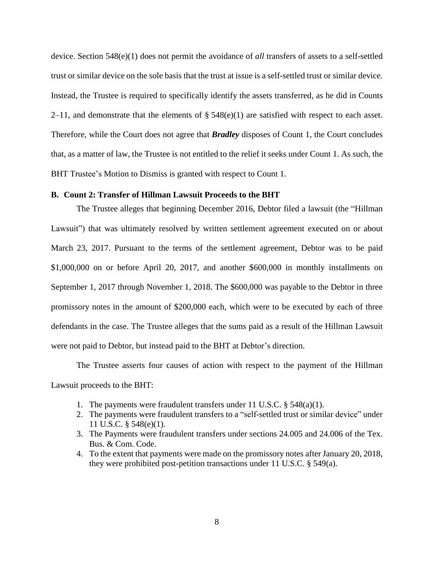device. Section 548(e)(1) does not permit the avoidance of *all* transfers of assets to a self-settled trust or similar device on the sole basis that the trust at issue is a self-settled trust or similar device. Instead, the Trustee is required to specifically identify the assets transferred, as he did in Counts 2–11, and demonstrate that the elements of  $\S$  548(e)(1) are satisfied with respect to each asset. Therefore, while the Court does not agree that *Bradley* disposes of Count 1, the Court concludes that, as a matter of law, the Trustee is not entitled to the relief it seeks under Count 1. As such, the BHT Trustee's Motion to Dismiss is granted with respect to Count 1.

### **B. Count 2: Transfer of Hillman Lawsuit Proceeds to the BHT**

The Trustee alleges that beginning December 2016, Debtor filed a lawsuit (the "Hillman Lawsuit") that was ultimately resolved by written settlement agreement executed on or about March 23, 2017. Pursuant to the terms of the settlement agreement, Debtor was to be paid \$1,000,000 on or before April 20, 2017, and another \$600,000 in monthly installments on September 1, 2017 through November 1, 2018. The \$600,000 was payable to the Debtor in three promissory notes in the amount of \$200,000 each, which were to be executed by each of three defendants in the case. The Trustee alleges that the sums paid as a result of the Hillman Lawsuit were not paid to Debtor, but instead paid to the BHT at Debtor's direction.

The Trustee asserts four causes of action with respect to the payment of the Hillman Lawsuit proceeds to the BHT:

- 1. The payments were fraudulent transfers under 11 U.S.C. § 548(a)(1).
- 2. The payments were fraudulent transfers to a "self-settled trust or similar device" under 11 U.S.C. § 548(e)(1).
- 3. The Payments were fraudulent transfers under sections 24.005 and 24.006 of the Tex. Bus. & Com. Code.
- 4. To the extent that payments were made on the promissory notes after January 20, 2018, they were prohibited post-petition transactions under 11 U.S.C. § 549(a).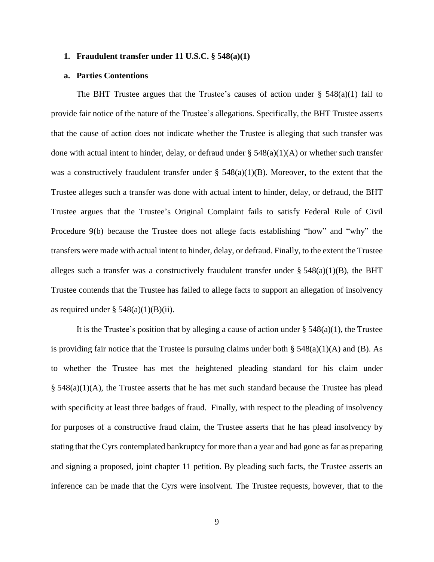### **1. Fraudulent transfer under 11 U.S.C. § 548(a)(1)**

#### **a. Parties Contentions**

The BHT Trustee argues that the Trustee's causes of action under  $\S$  548(a)(1) fail to provide fair notice of the nature of the Trustee's allegations. Specifically, the BHT Trustee asserts that the cause of action does not indicate whether the Trustee is alleging that such transfer was done with actual intent to hinder, delay, or defraud under  $\S$  548(a)(1)(A) or whether such transfer was a constructively fraudulent transfer under  $\S$  548(a)(1)(B). Moreover, to the extent that the Trustee alleges such a transfer was done with actual intent to hinder, delay, or defraud, the BHT Trustee argues that the Trustee's Original Complaint fails to satisfy Federal Rule of Civil Procedure 9(b) because the Trustee does not allege facts establishing "how" and "why" the transfers were made with actual intent to hinder, delay, or defraud. Finally, to the extent the Trustee alleges such a transfer was a constructively fraudulent transfer under  $\S$  548(a)(1)(B), the BHT Trustee contends that the Trustee has failed to allege facts to support an allegation of insolvency as required under  $\S$  548(a)(1)(B)(ii).

It is the Trustee's position that by alleging a cause of action under  $\S 548(a)(1)$ , the Trustee is providing fair notice that the Trustee is pursuing claims under both  $\S$  548(a)(1)(A) and (B). As to whether the Trustee has met the heightened pleading standard for his claim under  $\S$  548(a)(1)(A), the Trustee asserts that he has met such standard because the Trustee has plead with specificity at least three badges of fraud. Finally, with respect to the pleading of insolvency for purposes of a constructive fraud claim, the Trustee asserts that he has plead insolvency by stating that the Cyrs contemplated bankruptcy for more than a year and had gone as far as preparing and signing a proposed, joint chapter 11 petition. By pleading such facts, the Trustee asserts an inference can be made that the Cyrs were insolvent. The Trustee requests, however, that to the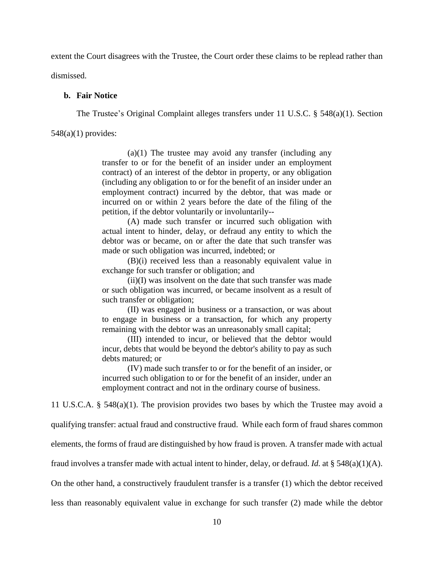extent the Court disagrees with the Trustee, the Court order these claims to be replead rather than dismissed.

#### **b. Fair Notice**

The Trustee's Original Complaint alleges transfers under 11 U.S.C. § 548(a)(1). Section

 $548(a)(1)$  provides:

 $(a)(1)$  The trustee may avoid any transfer (including any transfer to or for the benefit of an insider under an employment contract) of an interest of the debtor in property, or any obligation (including any obligation to or for the benefit of an insider under an employment contract) incurred by the debtor, that was made or incurred on or within 2 years before the date of the filing of the petition, if the debtor voluntarily or involuntarily--

(A) made such transfer or incurred such obligation with actual intent to hinder, delay, or defraud any entity to which the debtor was or became, on or after the date that such transfer was made or such obligation was incurred, indebted; or

(B)(i) received less than a reasonably equivalent value in exchange for such transfer or obligation; and

 $(ii)(I)$  was insolvent on the date that such transfer was made or such obligation was incurred, or became insolvent as a result of such transfer or obligation;

(II) was engaged in business or a transaction, or was about to engage in business or a transaction, for which any property remaining with the debtor was an unreasonably small capital;

(III) intended to incur, or believed that the debtor would incur, debts that would be beyond the debtor's ability to pay as such debts matured; or

(IV) made such transfer to or for the benefit of an insider, or incurred such obligation to or for the benefit of an insider, under an employment contract and not in the ordinary course of business.

11 U.S.C.A. § 548(a)(1). The provision provides two bases by which the Trustee may avoid a

qualifying transfer: actual fraud and constructive fraud. While each form of fraud shares common

elements, the forms of fraud are distinguished by how fraud is proven. A transfer made with actual

fraud involves a transfer made with actual intent to hinder, delay, or defraud. *Id.* at § 548(a)(1)(A).

On the other hand, a constructively fraudulent transfer is a transfer (1) which the debtor received

less than reasonably equivalent value in exchange for such transfer (2) made while the debtor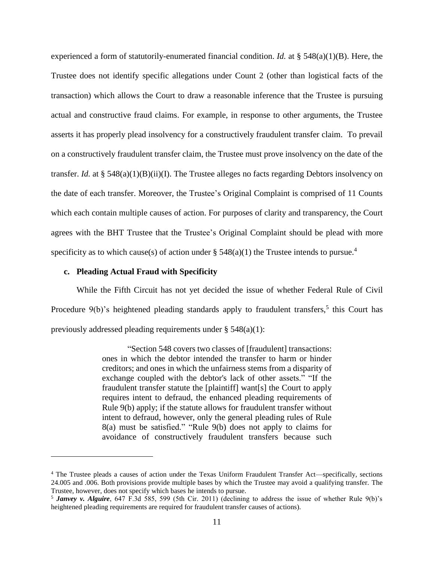experienced a form of statutorily-enumerated financial condition. *Id.* at § 548(a)(1)(B). Here, the Trustee does not identify specific allegations under Count 2 (other than logistical facts of the transaction) which allows the Court to draw a reasonable inference that the Trustee is pursuing actual and constructive fraud claims. For example, in response to other arguments, the Trustee asserts it has properly plead insolvency for a constructively fraudulent transfer claim. To prevail on a constructively fraudulent transfer claim, the Trustee must prove insolvency on the date of the transfer. *Id.* at § 548(a)(1)(B)(ii)(I). The Trustee alleges no facts regarding Debtors insolvency on the date of each transfer. Moreover, the Trustee's Original Complaint is comprised of 11 Counts which each contain multiple causes of action. For purposes of clarity and transparency, the Court agrees with the BHT Trustee that the Trustee's Original Complaint should be plead with more specificity as to which cause(s) of action under  $\S$  548(a)(1) the Trustee intends to pursue.<sup>4</sup>

## **c. Pleading Actual Fraud with Specificity**

 $\overline{a}$ 

While the Fifth Circuit has not yet decided the issue of whether Federal Rule of Civil Procedure  $9(b)$ 's heightened pleading standards apply to fraudulent transfers,<sup>5</sup> this Court has previously addressed pleading requirements under § 548(a)(1):

> "Section 548 covers two classes of [fraudulent] transactions: ones in which the debtor intended the transfer to harm or hinder creditors; and ones in which the unfairness stems from a disparity of exchange coupled with the debtor's lack of other assets." "If the fraudulent transfer statute the [plaintiff] want[s] the Court to apply requires intent to defraud, the enhanced pleading requirements of Rule 9(b) apply; if the statute allows for fraudulent transfer without intent to defraud, however, only the general pleading rules of Rule 8(a) must be satisfied." "Rule 9(b) does not apply to claims for avoidance of constructively fraudulent transfers because such

<sup>4</sup> The Trustee pleads a causes of action under the Texas Uniform Fraudulent Transfer Act—specifically, sections 24.005 and .006. Both provisions provide multiple bases by which the Trustee may avoid a qualifying transfer. The Trustee, however, does not specify which bases he intends to pursue.

<sup>5</sup> *Janvey v. Alguire*, 647 F.3d 585, 599 (5th Cir. 2011) (declining to address the issue of whether Rule 9(b)'s heightened pleading requirements are required for fraudulent transfer causes of actions).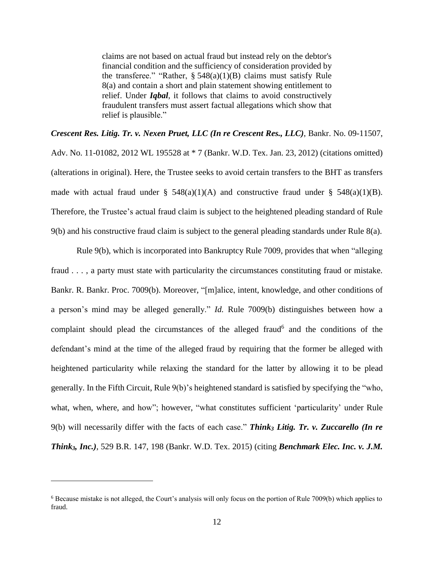claims are not based on actual fraud but instead rely on the debtor's financial condition and the sufficiency of consideration provided by the transferee." "Rather,  $\S 548(a)(1)(B)$  claims must satisfy Rule 8(a) and contain a short and plain statement showing entitlement to relief. Under *Iqbal*, it follows that claims to avoid constructively fraudulent transfers must assert factual allegations which show that relief is plausible."

*Crescent Res. Litig. Tr. v. Nexen Pruet, LLC (In re Crescent Res., LLC)*, Bankr. No. 09-11507, Adv. No. 11-01082, 2012 WL 195528 at \* 7 (Bankr. W.D. Tex. Jan. 23, 2012) (citations omitted) (alterations in original). Here, the Trustee seeks to avoid certain transfers to the BHT as transfers made with actual fraud under §  $548(a)(1)(A)$  and constructive fraud under §  $548(a)(1)(B)$ . Therefore, the Trustee's actual fraud claim is subject to the heightened pleading standard of Rule 9(b) and his constructive fraud claim is subject to the general pleading standards under Rule 8(a).

Rule 9(b), which is incorporated into Bankruptcy Rule 7009, provides that when "alleging fraud . . . , a party must state with particularity the circumstances constituting fraud or mistake. Bankr. R. Bankr. Proc. 7009(b). Moreover, "[m]alice, intent, knowledge, and other conditions of a person's mind may be alleged generally." *Id.* Rule 7009(b) distinguishes between how a complaint should plead the circumstances of the alleged fraud<sup>6</sup> and the conditions of the defendant's mind at the time of the alleged fraud by requiring that the former be alleged with heightened particularity while relaxing the standard for the latter by allowing it to be plead generally. In the Fifth Circuit, Rule 9(b)'s heightened standard is satisfied by specifying the "who, what, when, where, and how"; however, "what constitutes sufficient 'particularity' under Rule 9(b) will necessarily differ with the facts of each case." *Think<sup>3</sup> Litig. Tr. v. Zuccarello (In re Think3, Inc.)*, 529 B.R. 147, 198 (Bankr. W.D. Tex. 2015) (citing *Benchmark Elec. Inc. v. J.M.*

<sup>6</sup> Because mistake is not alleged, the Court's analysis will only focus on the portion of Rule 7009(b) which applies to fraud.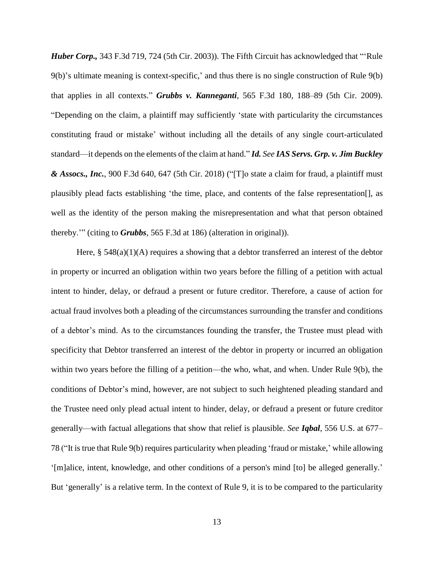*Huber Corp.,* 343 F.3d 719, 724 (5th Cir. 2003)). The Fifth Circuit has acknowledged that "'Rule 9(b)'s ultimate meaning is context-specific,' and thus there is no single construction of Rule 9(b) that applies in all contexts." *Grubbs v. Kanneganti*, 565 F.3d 180, 188–89 (5th Cir. 2009). "Depending on the claim, a plaintiff may sufficiently 'state with particularity the circumstances constituting fraud or mistake' without including all the details of any single court-articulated standard—it depends on the elements of the claim at hand." *Id. See IAS Servs. Grp. v. Jim Buckley & Assocs., Inc.*, 900 F.3d 640, 647 (5th Cir. 2018) ("[T]o state a claim for fraud, a plaintiff must plausibly plead facts establishing 'the time, place, and contents of the false representation[], as well as the identity of the person making the misrepresentation and what that person obtained thereby.'" (citing to *Grubbs*, 565 F.3d at 186) (alteration in original)).

Here,  $\S$  548(a)(1)(A) requires a showing that a debtor transferred an interest of the debtor in property or incurred an obligation within two years before the filling of a petition with actual intent to hinder, delay, or defraud a present or future creditor. Therefore, a cause of action for actual fraud involves both a pleading of the circumstances surrounding the transfer and conditions of a debtor's mind. As to the circumstances founding the transfer, the Trustee must plead with specificity that Debtor transferred an interest of the debtor in property or incurred an obligation within two years before the filling of a petition—the who, what, and when. Under Rule 9(b), the conditions of Debtor's mind, however, are not subject to such heightened pleading standard and the Trustee need only plead actual intent to hinder, delay, or defraud a present or future creditor generally—with factual allegations that show that relief is plausible. *See Iqbal*, 556 U.S. at 677– 78 ("It is true that Rule 9(b) requires particularity when pleading 'fraud or mistake,' while allowing '[m]alice, intent, knowledge, and other conditions of a person's mind [to] be alleged generally.' But 'generally' is a relative term. In the context of Rule 9, it is to be compared to the particularity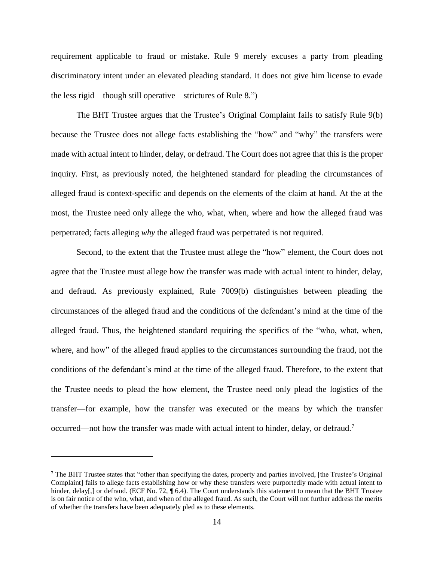requirement applicable to fraud or mistake. Rule 9 merely excuses a party from pleading discriminatory intent under an elevated pleading standard. It does not give him license to evade the less rigid—though still operative—strictures of Rule 8.")

The BHT Trustee argues that the Trustee's Original Complaint fails to satisfy Rule 9(b) because the Trustee does not allege facts establishing the "how" and "why" the transfers were made with actual intent to hinder, delay, or defraud. The Court does not agree that this is the proper inquiry. First, as previously noted, the heightened standard for pleading the circumstances of alleged fraud is context-specific and depends on the elements of the claim at hand. At the at the most, the Trustee need only allege the who, what, when, where and how the alleged fraud was perpetrated; facts alleging *why* the alleged fraud was perpetrated is not required.

Second, to the extent that the Trustee must allege the "how" element, the Court does not agree that the Trustee must allege how the transfer was made with actual intent to hinder, delay, and defraud. As previously explained, Rule 7009(b) distinguishes between pleading the circumstances of the alleged fraud and the conditions of the defendant's mind at the time of the alleged fraud. Thus, the heightened standard requiring the specifics of the "who, what, when, where, and how" of the alleged fraud applies to the circumstances surrounding the fraud, not the conditions of the defendant's mind at the time of the alleged fraud. Therefore, to the extent that the Trustee needs to plead the how element, the Trustee need only plead the logistics of the transfer—for example, how the transfer was executed or the means by which the transfer occurred—not how the transfer was made with actual intent to hinder, delay, or defraud.<sup>7</sup>

<sup>7</sup> The BHT Trustee states that "other than specifying the dates, property and parties involved, [the Trustee's Original Complaint] fails to allege facts establishing how or why these transfers were purportedly made with actual intent to hinder, delay[,] or defraud. (ECF No. 72, ¶ 6.4). The Court understands this statement to mean that the BHT Trustee is on fair notice of the who, what, and when of the alleged fraud. As such, the Court will not further address the merits of whether the transfers have been adequately pled as to these elements.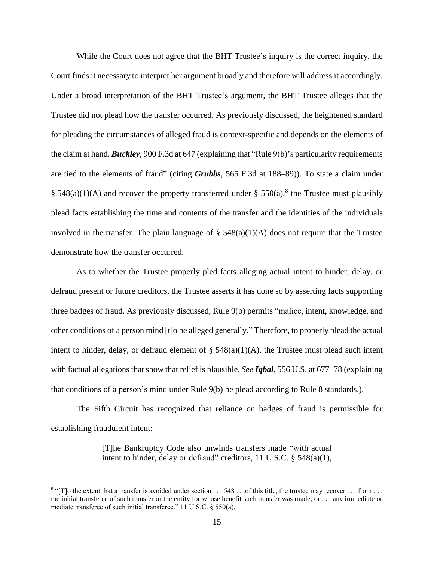While the Court does not agree that the BHT Trustee's inquiry is the correct inquiry, the Court finds it necessary to interpret her argument broadly and therefore will address it accordingly. Under a broad interpretation of the BHT Trustee's argument, the BHT Trustee alleges that the Trustee did not plead how the transfer occurred. As previously discussed, the heightened standard for pleading the circumstances of alleged fraud is context-specific and depends on the elements of the claim at hand. *Buckley*, 900 F.3d at 647 (explaining that "Rule 9(b)'s particularity requirements are tied to the elements of fraud" (citing *Grubbs*, 565 F.3d at 188–89)). To state a claim under § 548(a)(1)(A) and recover the property transferred under § 550(a),<sup>8</sup> the Trustee must plausibly plead facts establishing the time and contents of the transfer and the identities of the individuals involved in the transfer. The plain language of  $\S$  548(a)(1)(A) does not require that the Trustee demonstrate how the transfer occurred.

As to whether the Trustee properly pled facts alleging actual intent to hinder, delay, or defraud present or future creditors, the Trustee asserts it has done so by asserting facts supporting three badges of fraud. As previously discussed, Rule 9(b) permits "malice, intent, knowledge, and other conditions of a person mind [t]o be alleged generally." Therefore, to properly plead the actual intent to hinder, delay, or defraud element of  $\S$  548(a)(1)(A), the Trustee must plead such intent with factual allegations that show that relief is plausible. *See Iqbal*, 556 U.S. at 677–78 (explaining that conditions of a person's mind under Rule 9(b) be plead according to Rule 8 standards.).

The Fifth Circuit has recognized that reliance on badges of fraud is permissible for establishing fraudulent intent:

> [T]he Bankruptcy Code also unwinds transfers made "with actual intent to hinder, delay or defraud" creditors, 11 U.S.C.  $\S$  548(a)(1),

 $8$  "[T]o the extent that a transfer is avoided under section  $\dots$  548  $\dots$  of this title, the trustee may recover  $\dots$  from  $\dots$ the initial transferee of such transfer or the entity for whose benefit such transfer was made; or . . . any immediate or mediate transferee of such initial transferee." 11 U.S.C. § 550(a).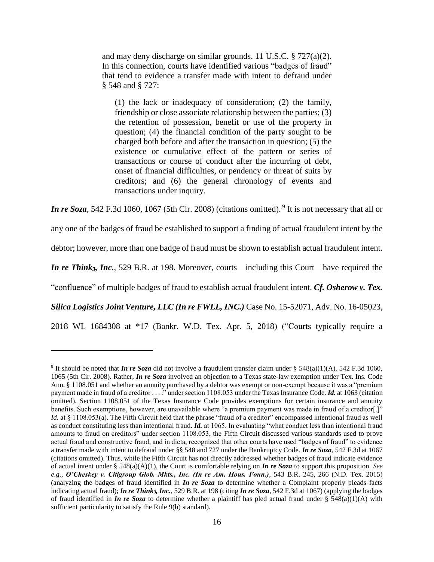and may deny discharge on similar grounds. 11 U.S.C. § 727(a)(2). In this connection, courts have identified various "badges of fraud" that tend to evidence a transfer made with intent to defraud under § 548 and § 727:

(1) the lack or inadequacy of consideration; (2) the family, friendship or close associate relationship between the parties; (3) the retention of possession, benefit or use of the property in question; (4) the financial condition of the party sought to be charged both before and after the transaction in question; (5) the existence or cumulative effect of the pattern or series of transactions or course of conduct after the incurring of debt, onset of financial difficulties, or pendency or threat of suits by creditors; and (6) the general chronology of events and transactions under inquiry.

In *re* Soza, 542 F.3d 1060, 1067 (5th Cir. 2008) (citations omitted). <sup>9</sup> It is not necessary that all or

any one of the badges of fraud be established to support a finding of actual fraudulent intent by the

debtor; however, more than one badge of fraud must be shown to establish actual fraudulent intent.

*In re Think3, Inc.*, 529 B.R. at 198. Moreover, courts—including this Court—have required the

"confluence" of multiple badges of fraud to establish actual fraudulent intent. *Cf. Osherow v. Tex.*

*Silica Logistics Joint Venture, LLC (In re FWLL, INC.)* Case No. 15-52071, Adv. No. 16-05023,

2018 WL 1684308 at \*17 (Bankr. W.D. Tex. Apr. 5, 2018) ("Courts typically require a

<sup>&</sup>lt;sup>9</sup> It should be noted that *In re Soza* did not involve a fraudulent transfer claim under § 548(a)(1)(A). 542 F.3d 1060, 1065 (5th Cir. 2008). Rather, *In re Soza* involved an objection to a Texas state-law exemption under Tex. Ins. Code Ann. § 1108.051 and whether an annuity purchased by a debtor was exempt or non-exempt because it was a "premium payment made in fraud of a creditor . . . ." under section 1108.053 under the Texas Insurance Code. *Id.* at 1063 (citation omitted). Section 1108.051 of the Texas Insurance Code provides exemptions for certain insurance and annuity benefits. Such exemptions, however, are unavailable where "a premium payment was made in fraud of a creditor[.]" *Id.* at § 1108.053(a). The Fifth Circuit held that the phrase "fraud of a creditor" encompassed intentional fraud as well as conduct constituting less than intentional fraud. *Id.* at 1065. In evaluating "what conduct less than intentional fraud amounts to fraud on creditors" under section 1108.053, the Fifth Circuit discussed various standards used to prove actual fraud and constructive fraud, and in dicta, recognized that other courts have used "badges of fraud" to evidence a transfer made with intent to defraud under §§ 548 and 727 under the Bankruptcy Code. *In re Soza*, 542 F.3d at 1067 (citations omitted). Thus, while the Fifth Circuit has not directly addressed whether badges of fraud indicate evidence of actual intent under § 548(a)(A)(1), the Court is comfortable relying on *In re Soza* to support this proposition. *See e.g.*, *O'Cheskey v. Citigroup Glob. Mkts., Inc. (In re Am. Hous. Foun.)*, 543 B.R. 245, 266 (N.D. Tex. 2015) (analyzing the badges of fraud identified in *In re Soza* to determine whether a Complaint properly pleads facts indicating actual fraud); *In re Think3, Inc.*, 529 B.R. at 198 (citing *In re Soza*, 542 F.3d at 1067) (applying the badges of fraud identified in *In re Soza* to determine whether a plaintiff has pled actual fraud under § 548(a)(1)(A) with sufficient particularity to satisfy the Rule 9(b) standard).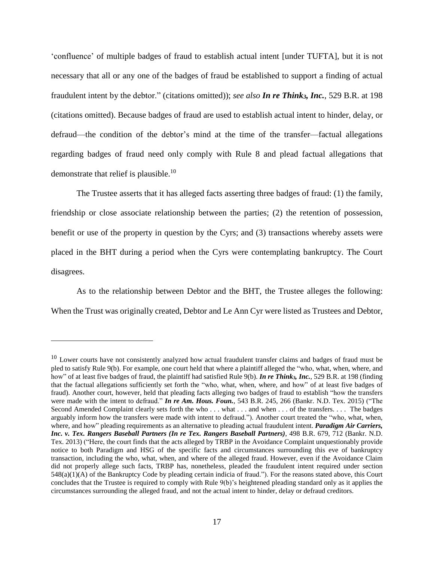'confluence' of multiple badges of fraud to establish actual intent [under TUFTA], but it is not necessary that all or any one of the badges of fraud be established to support a finding of actual fraudulent intent by the debtor." (citations omitted)); *see also In re Think3, Inc.*, 529 B.R. at 198 (citations omitted). Because badges of fraud are used to establish actual intent to hinder, delay, or defraud—the condition of the debtor's mind at the time of the transfer—factual allegations regarding badges of fraud need only comply with Rule 8 and plead factual allegations that demonstrate that relief is plausible.<sup>10</sup>

The Trustee asserts that it has alleged facts asserting three badges of fraud: (1) the family, friendship or close associate relationship between the parties; (2) the retention of possession, benefit or use of the property in question by the Cyrs; and (3) transactions whereby assets were placed in the BHT during a period when the Cyrs were contemplating bankruptcy. The Court disagrees.

As to the relationship between Debtor and the BHT, the Trustee alleges the following: When the Trust was originally created, Debtor and Le Ann Cyr were listed as Trustees and Debtor,

<sup>&</sup>lt;sup>10</sup> Lower courts have not consistently analyzed how actual fraudulent transfer claims and badges of fraud must be pled to satisfy Rule 9(b). For example, one court held that where a plaintiff alleged the "who, what, when, where, and how" of at least five badges of fraud, the plaintiff had satisfied Rule 9(b). *In re Think3, Inc.*, 529 B.R. at 198 (finding that the factual allegations sufficiently set forth the "who, what, when, where, and how" of at least five badges of fraud). Another court, however, held that pleading facts alleging two badges of fraud to establish "how the transfers were made with the intent to defraud." *In re Am. Hous. Foun.*, 543 B.R. 245, 266 (Bankr. N.D. Tex. 2015) ("The Second Amended Complaint clearly sets forth the who . . . what . . . and when . . . of the transfers. . . . The badges arguably inform how the transfers were made with intent to defraud."). Another court treated the "who, what, when, where, and how" pleading requirements as an alternative to pleading actual fraudulent intent. *Paradigm Air Carriers, Inc. v. Tex. Rangers Baseball Partners (In re Tex. Rangers Baseball Partners)*, 498 B.R. 679, 712 (Bankr. N.D. Tex. 2013) ("Here, the court finds that the acts alleged by TRBP in the Avoidance Complaint unquestionably provide notice to both Paradigm and HSG of the specific facts and circumstances surrounding this eve of bankruptcy transaction, including the who, what, when, and where of the alleged fraud. However, even if the Avoidance Claim did not properly allege such facts, TRBP has, nonetheless, pleaded the fraudulent intent required under section 548(a)(1)(A) of the Bankruptcy Code by pleading certain indicia of fraud."). For the reasons stated above, this Court concludes that the Trustee is required to comply with Rule 9(b)'s heightened pleading standard only as it applies the circumstances surrounding the alleged fraud, and not the actual intent to hinder, delay or defraud creditors.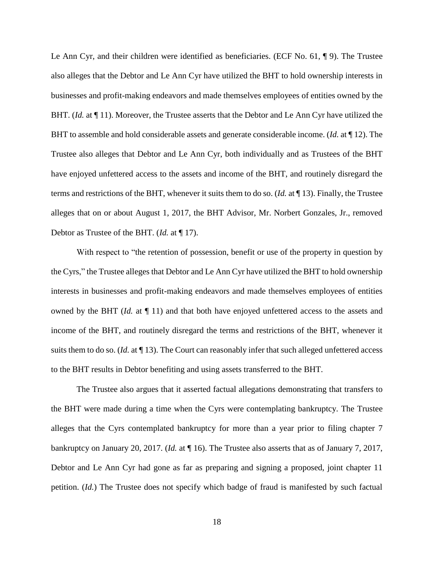Le Ann Cyr, and their children were identified as beneficiaries. (ECF No. 61, ¶ 9). The Trustee also alleges that the Debtor and Le Ann Cyr have utilized the BHT to hold ownership interests in businesses and profit-making endeavors and made themselves employees of entities owned by the BHT. *(Id.* at  $\P$  11). Moreover, the Trustee asserts that the Debtor and Le Ann Cyr have utilized the BHT to assemble and hold considerable assets and generate considerable income. (*Id.* at ¶ 12). The Trustee also alleges that Debtor and Le Ann Cyr, both individually and as Trustees of the BHT have enjoyed unfettered access to the assets and income of the BHT, and routinely disregard the terms and restrictions of the BHT, whenever it suits them to do so. (*Id.* at ¶ 13). Finally, the Trustee alleges that on or about August 1, 2017, the BHT Advisor, Mr. Norbert Gonzales, Jr., removed Debtor as Trustee of the BHT. (*Id.* at ¶ 17).

With respect to "the retention of possession, benefit or use of the property in question by the Cyrs," the Trustee alleges that Debtor and Le Ann Cyr have utilized the BHT to hold ownership interests in businesses and profit-making endeavors and made themselves employees of entities owned by the BHT (*Id.* at ¶ 11) and that both have enjoyed unfettered access to the assets and income of the BHT, and routinely disregard the terms and restrictions of the BHT, whenever it suits them to do so. (*Id.* at ¶ 13). The Court can reasonably infer that such alleged unfettered access to the BHT results in Debtor benefiting and using assets transferred to the BHT.

The Trustee also argues that it asserted factual allegations demonstrating that transfers to the BHT were made during a time when the Cyrs were contemplating bankruptcy. The Trustee alleges that the Cyrs contemplated bankruptcy for more than a year prior to filing chapter 7 bankruptcy on January 20, 2017. (*Id.* at ¶ 16). The Trustee also asserts that as of January 7, 2017, Debtor and Le Ann Cyr had gone as far as preparing and signing a proposed, joint chapter 11 petition. (*Id.*) The Trustee does not specify which badge of fraud is manifested by such factual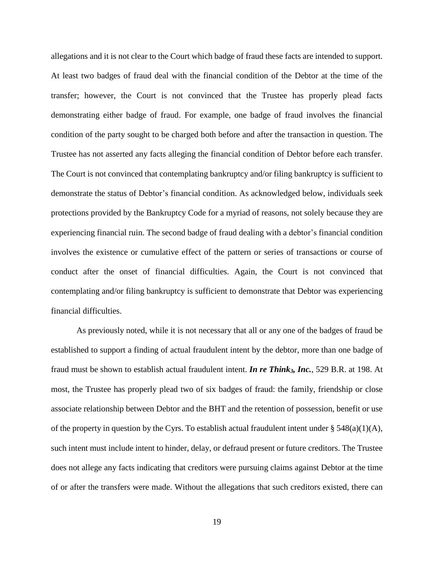allegations and it is not clear to the Court which badge of fraud these facts are intended to support. At least two badges of fraud deal with the financial condition of the Debtor at the time of the transfer; however, the Court is not convinced that the Trustee has properly plead facts demonstrating either badge of fraud. For example, one badge of fraud involves the financial condition of the party sought to be charged both before and after the transaction in question. The Trustee has not asserted any facts alleging the financial condition of Debtor before each transfer. The Court is not convinced that contemplating bankruptcy and/or filing bankruptcy is sufficient to demonstrate the status of Debtor's financial condition. As acknowledged below, individuals seek protections provided by the Bankruptcy Code for a myriad of reasons, not solely because they are experiencing financial ruin. The second badge of fraud dealing with a debtor's financial condition involves the existence or cumulative effect of the pattern or series of transactions or course of conduct after the onset of financial difficulties. Again, the Court is not convinced that contemplating and/or filing bankruptcy is sufficient to demonstrate that Debtor was experiencing financial difficulties.

As previously noted, while it is not necessary that all or any one of the badges of fraud be established to support a finding of actual fraudulent intent by the debtor, more than one badge of fraud must be shown to establish actual fraudulent intent. *In re Think3, Inc.*, 529 B.R. at 198. At most, the Trustee has properly plead two of six badges of fraud: the family, friendship or close associate relationship between Debtor and the BHT and the retention of possession, benefit or use of the property in question by the Cyrs. To establish actual fraudulent intent under  $\S$  548(a)(1)(A), such intent must include intent to hinder, delay, or defraud present or future creditors. The Trustee does not allege any facts indicating that creditors were pursuing claims against Debtor at the time of or after the transfers were made. Without the allegations that such creditors existed, there can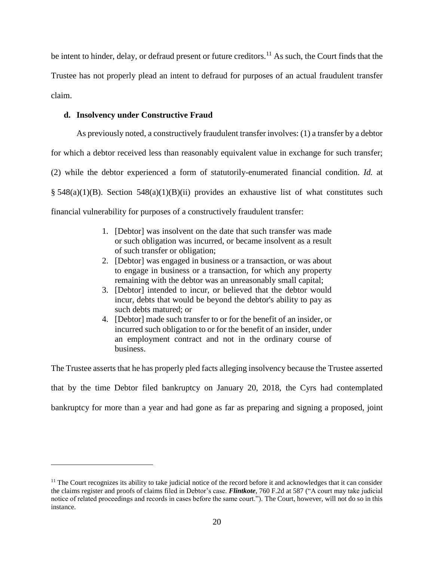be intent to hinder, delay, or defraud present or future creditors.<sup>11</sup> As such, the Court finds that the Trustee has not properly plead an intent to defraud for purposes of an actual fraudulent transfer claim.

# **d. Insolvency under Constructive Fraud**

 $\overline{a}$ 

As previously noted, a constructively fraudulent transfer involves: (1) a transfer by a debtor for which a debtor received less than reasonably equivalent value in exchange for such transfer; (2) while the debtor experienced a form of statutorily-enumerated financial condition. *Id.* at  $§ 548(a)(1)(B)$ . Section  $548(a)(1)(B)(ii)$  provides an exhaustive list of what constitutes such financial vulnerability for purposes of a constructively fraudulent transfer:

- 1. [Debtor] was insolvent on the date that such transfer was made or such obligation was incurred, or became insolvent as a result of such transfer or obligation;
- 2. [Debtor] was engaged in business or a transaction, or was about to engage in business or a transaction, for which any property remaining with the debtor was an unreasonably small capital;
- 3. [Debtor] intended to incur, or believed that the debtor would incur, debts that would be beyond the debtor's ability to pay as such debts matured; or
- 4. [Debtor] made such transfer to or for the benefit of an insider, or incurred such obligation to or for the benefit of an insider, under an employment contract and not in the ordinary course of business.

The Trustee asserts that he has properly pled facts alleging insolvency because the Trustee asserted that by the time Debtor filed bankruptcy on January 20, 2018, the Cyrs had contemplated bankruptcy for more than a year and had gone as far as preparing and signing a proposed, joint

<sup>&</sup>lt;sup>11</sup> The Court recognizes its ability to take judicial notice of the record before it and acknowledges that it can consider the claims register and proofs of claims filed in Debtor's case. *Flintkote*, 760 F.2d at 587 ("A court may take judicial notice of related proceedings and records in cases before the same court."). The Court, however, will not do so in this instance.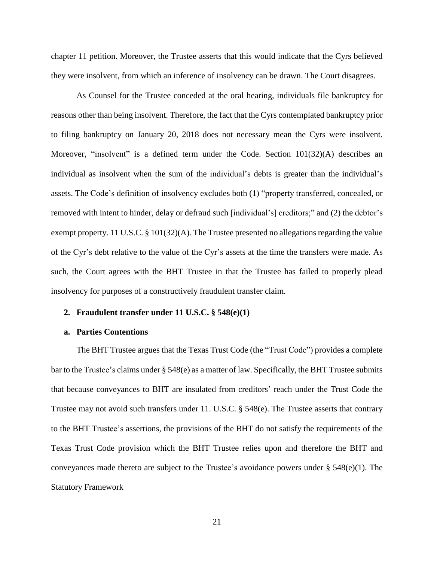chapter 11 petition. Moreover, the Trustee asserts that this would indicate that the Cyrs believed they were insolvent, from which an inference of insolvency can be drawn. The Court disagrees.

As Counsel for the Trustee conceded at the oral hearing, individuals file bankruptcy for reasons other than being insolvent. Therefore, the fact that the Cyrs contemplated bankruptcy prior to filing bankruptcy on January 20, 2018 does not necessary mean the Cyrs were insolvent. Moreover, "insolvent" is a defined term under the Code. Section  $101(32)(A)$  describes an individual as insolvent when the sum of the individual's debts is greater than the individual's assets. The Code's definition of insolvency excludes both (1) "property transferred, concealed, or removed with intent to hinder, delay or defraud such [individual's] creditors;" and (2) the debtor's exempt property. 11 U.S.C.  $\S$  101(32)(A). The Trustee presented no allegations regarding the value of the Cyr's debt relative to the value of the Cyr's assets at the time the transfers were made. As such, the Court agrees with the BHT Trustee in that the Trustee has failed to properly plead insolvency for purposes of a constructively fraudulent transfer claim.

# **2. Fraudulent transfer under 11 U.S.C. § 548(e)(1)**

#### **a. Parties Contentions**

The BHT Trustee argues that the Texas Trust Code (the "Trust Code") provides a complete bar to the Trustee's claims under § 548(e) as a matter of law. Specifically, the BHT Trustee submits that because conveyances to BHT are insulated from creditors' reach under the Trust Code the Trustee may not avoid such transfers under 11. U.S.C. § 548(e). The Trustee asserts that contrary to the BHT Trustee's assertions, the provisions of the BHT do not satisfy the requirements of the Texas Trust Code provision which the BHT Trustee relies upon and therefore the BHT and conveyances made thereto are subject to the Trustee's avoidance powers under  $\S$  548(e)(1). The Statutory Framework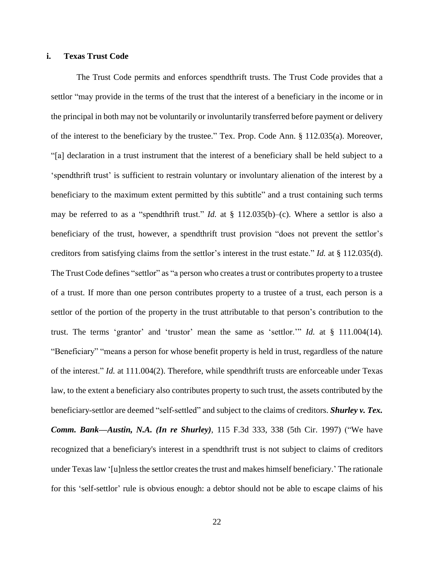# **i. Texas Trust Code**

The Trust Code permits and enforces spendthrift trusts. The Trust Code provides that a settlor "may provide in the terms of the trust that the interest of a beneficiary in the income or in the principal in both may not be voluntarily or involuntarily transferred before payment or delivery of the interest to the beneficiary by the trustee." Tex. Prop. Code Ann. § 112.035(a). Moreover, "[a] declaration in a trust instrument that the interest of a beneficiary shall be held subject to a 'spendthrift trust' is sufficient to restrain voluntary or involuntary alienation of the interest by a beneficiary to the maximum extent permitted by this subtitle" and a trust containing such terms may be referred to as a "spendthrift trust." *Id.* at § 112.035(b)–(c). Where a settlor is also a beneficiary of the trust, however, a spendthrift trust provision "does not prevent the settlor's creditors from satisfying claims from the settlor's interest in the trust estate." *Id.* at § 112.035(d). The Trust Code defines "settlor" as "a person who creates a trust or contributes property to a trustee of a trust. If more than one person contributes property to a trustee of a trust, each person is a settlor of the portion of the property in the trust attributable to that person's contribution to the trust. The terms 'grantor' and 'trustor' mean the same as 'settlor.'" *Id.* at § 111.004(14). "Beneficiary" "means a person for whose benefit property is held in trust, regardless of the nature of the interest." *Id.* at 111.004(2). Therefore, while spendthrift trusts are enforceable under Texas law, to the extent a beneficiary also contributes property to such trust, the assets contributed by the beneficiary-settlor are deemed "self-settled" and subject to the claims of creditors. *Shurley v. Tex. Comm. Bank—Austin, N.A. (In re Shurley)*, 115 F.3d 333, 338 (5th Cir. 1997) ("We have recognized that a beneficiary's interest in a spendthrift trust is not subject to claims of creditors under Texas law '[u]nless the settlor creates the trust and makes himself beneficiary.' The rationale for this 'self-settlor' rule is obvious enough: a debtor should not be able to escape claims of his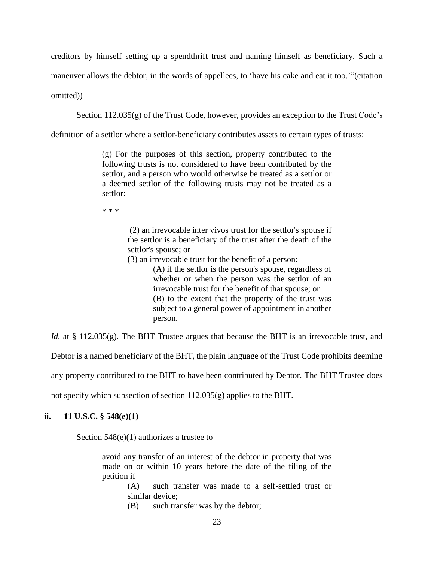creditors by himself setting up a spendthrift trust and naming himself as beneficiary. Such a

maneuver allows the debtor, in the words of appellees, to 'have his cake and eat it too.'"(citation

omitted))

Section 112.035(g) of the Trust Code, however, provides an exception to the Trust Code's

definition of a settlor where a settlor-beneficiary contributes assets to certain types of trusts:

(g) For the purposes of this section, property contributed to the following trusts is not considered to have been contributed by the settlor, and a person who would otherwise be treated as a settlor or a deemed settlor of the following trusts may not be treated as a settlor:

\* \* \*

(2) an irrevocable inter vivos trust for the settlor's spouse if the settlor is a beneficiary of the trust after the death of the settlor's spouse; or

(3) an irrevocable trust for the benefit of a person:

(A) if the settlor is the person's spouse, regardless of whether or when the person was the settlor of an irrevocable trust for the benefit of that spouse; or (B) to the extent that the property of the trust was subject to a general power of appointment in another person.

*Id.* at § 112.035(g). The BHT Trustee argues that because the BHT is an irrevocable trust, and

Debtor is a named beneficiary of the BHT, the plain language of the Trust Code prohibits deeming

any property contributed to the BHT to have been contributed by Debtor. The BHT Trustee does

not specify which subsection of section 112.035(g) applies to the BHT.

# **ii. 11 U.S.C. § 548(e)(1)**

Section 548(e)(1) authorizes a trustee to

avoid any transfer of an interest of the debtor in property that was made on or within 10 years before the date of the filing of the petition if–

(A) such transfer was made to a self-settled trust or similar device;

(B) such transfer was by the debtor;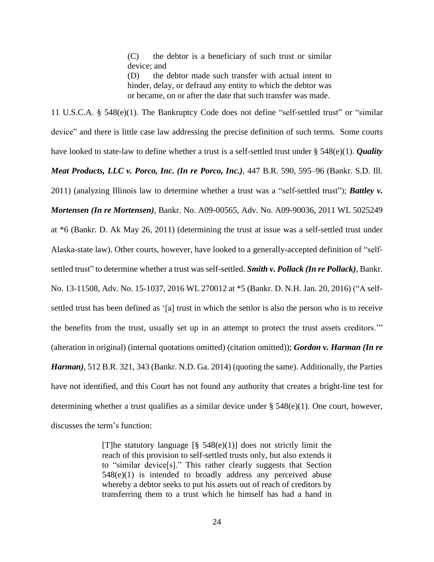(C) the debtor is a beneficiary of such trust or similar device; and

(D) the debtor made such transfer with actual intent to hinder, delay, or defraud any entity to which the debtor was or became, on or after the date that such transfer was made.

11 U.S.C.A. § 548(e)(1). The Bankruptcy Code does not define "self-settled trust" or "similar device" and there is little case law addressing the precise definition of such terms. Some courts have looked to state-law to define whether a trust is a self-settled trust under § 548(e)(1). *Quality Meat Products, LLC v. Porco, Inc. (In re Porco, Inc.)*, 447 B.R. 590, 595–96 (Bankr. S.D. Ill. 2011) (analyzing Illinois law to determine whether a trust was a "self-settled trust"); *Battley v. Mortensen (In re Mortensen)*, Bankr. No. A09-00565, Adv. No. A09-90036, 2011 WL 5025249 at \*6 (Bankr. D. Ak May 26, 2011) (determining the trust at issue was a self-settled trust under Alaska-state law). Other courts, however, have looked to a generally-accepted definition of "selfsettled trust" to determine whether a trust was self-settled. *Smith v. Pollack (In re Pollack)*, Bankr. No. 13-11508, Adv. No. 15-1037, 2016 WL 270012 at \*5 (Bankr. D. N.H. Jan. 20, 2016) ("A selfsettled trust has been defined as '[a] trust in which the settlor is also the person who is to receive the benefits from the trust, usually set up in an attempt to protect the trust assets creditors.'" (alteration in original) (internal quotations omitted) (citation omitted)); *Gordon v. Harman (In re Harman)*, 512 B.R. 321, 343 (Bankr. N.D. Ga. 2014) (quoting the same). Additionally, the Parties have not identified, and this Court has not found any authority that creates a bright-line test for determining whether a trust qualifies as a similar device under § 548(e)(1). One court, however, discusses the term's function:

> [T]he statutory language  $[\S$  548(e)(1)] does not strictly limit the reach of this provision to self-settled trusts only, but also extends it to "similar device[s]." This rather clearly suggests that Section 548(e)(1) is intended to broadly address any perceived abuse whereby a debtor seeks to put his assets out of reach of creditors by transferring them to a trust which he himself has had a hand in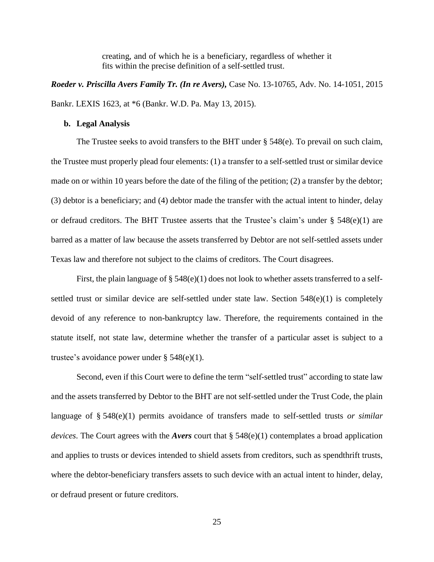creating, and of which he is a beneficiary, regardless of whether it fits within the precise definition of a self-settled trust.

*Roeder v. Priscilla Avers Family Tr. (In re Avers),* Case No. 13-10765, Adv. No. 14-1051, 2015 Bankr. LEXIS 1623, at \*6 (Bankr. W.D. Pa. May 13, 2015).

#### **b. Legal Analysis**

The Trustee seeks to avoid transfers to the BHT under  $\S$  548(e). To prevail on such claim, the Trustee must properly plead four elements: (1) a transfer to a self-settled trust or similar device made on or within 10 years before the date of the filing of the petition; (2) a transfer by the debtor; (3) debtor is a beneficiary; and (4) debtor made the transfer with the actual intent to hinder, delay or defraud creditors. The BHT Trustee asserts that the Trustee's claim's under  $\S$  548(e)(1) are barred as a matter of law because the assets transferred by Debtor are not self-settled assets under Texas law and therefore not subject to the claims of creditors. The Court disagrees.

First, the plain language of  $\S 548(e)(1)$  does not look to whether assets transferred to a selfsettled trust or similar device are self-settled under state law. Section 548(e)(1) is completely devoid of any reference to non-bankruptcy law. Therefore, the requirements contained in the statute itself, not state law, determine whether the transfer of a particular asset is subject to a trustee's avoidance power under § 548(e)(1).

Second, even if this Court were to define the term "self-settled trust" according to state law and the assets transferred by Debtor to the BHT are not self-settled under the Trust Code, the plain language of § 548(e)(1) permits avoidance of transfers made to self-settled trusts *or similar devices*. The Court agrees with the *Avers* court that § 548(e)(1) contemplates a broad application and applies to trusts or devices intended to shield assets from creditors, such as spendthrift trusts, where the debtor-beneficiary transfers assets to such device with an actual intent to hinder, delay, or defraud present or future creditors.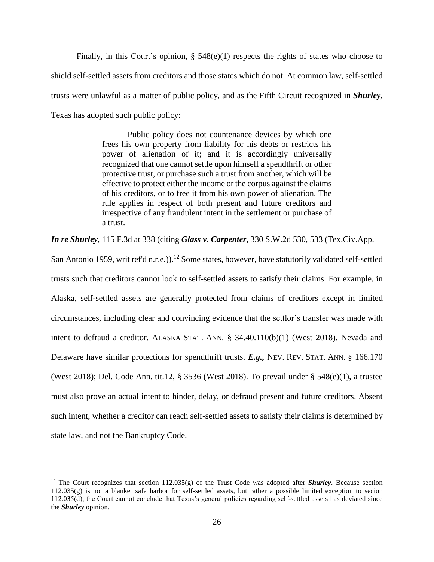Finally, in this Court's opinion,  $\S$  548(e)(1) respects the rights of states who choose to shield self-settled assets from creditors and those states which do not. At common law, self-settled trusts were unlawful as a matter of public policy, and as the Fifth Circuit recognized in *Shurley*, Texas has adopted such public policy:

> Public policy does not countenance devices by which one frees his own property from liability for his debts or restricts his power of alienation of it; and it is accordingly universally recognized that one cannot settle upon himself a spendthrift or other protective trust, or purchase such a trust from another, which will be effective to protect either the income or the corpus against the claims of his creditors, or to free it from his own power of alienation. The rule applies in respect of both present and future creditors and irrespective of any fraudulent intent in the settlement or purchase of a trust.

*In re Shurley*, 115 F.3d at 338 (citing *Glass v. Carpenter*, 330 S.W.2d 530, 533 (Tex.Civ.App.—

San Antonio 1959, writ ref'd n.r.e.)).<sup>12</sup> Some states, however, have statutorily validated self-settled trusts such that creditors cannot look to self-settled assets to satisfy their claims. For example, in Alaska, self-settled assets are generally protected from claims of creditors except in limited circumstances, including clear and convincing evidence that the settlor's transfer was made with intent to defraud a creditor. ALASKA STAT. ANN. § 34.40.110(b)(1) (West 2018). Nevada and Delaware have similar protections for spendthrift trusts. *E.g.,* NEV. REV. STAT. ANN. § 166.170 (West 2018); Del. Code Ann. tit.12, § 3536 (West 2018). To prevail under § 548(e)(1), a trustee must also prove an actual intent to hinder, delay, or defraud present and future creditors. Absent such intent, whether a creditor can reach self-settled assets to satisfy their claims is determined by state law, and not the Bankruptcy Code.

<sup>&</sup>lt;sup>12</sup> The Court recognizes that section  $112.035(g)$  of the Trust Code was adopted after **Shurley**. Because section 112.035(g) is not a blanket safe harbor for self-settled assets, but rather a possible limited exception to secion 112.035(d), the Court cannot conclude that Texas's general policies regarding self-settled assets has deviated since the *Shurley* opinion.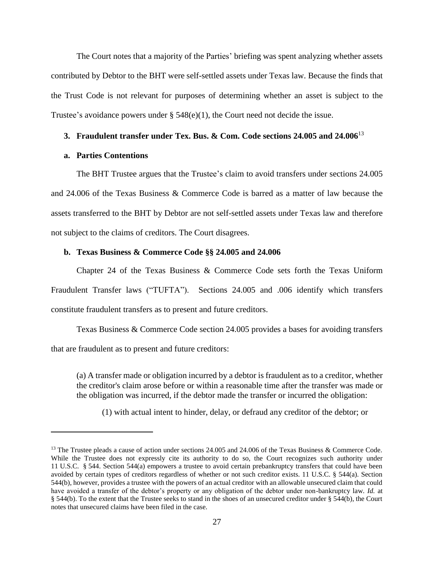The Court notes that a majority of the Parties' briefing was spent analyzing whether assets contributed by Debtor to the BHT were self-settled assets under Texas law. Because the finds that the Trust Code is not relevant for purposes of determining whether an asset is subject to the Trustee's avoidance powers under § 548(e)(1), the Court need not decide the issue.

#### **3. Fraudulent transfer under Tex. Bus. & Com. Code sections 24.005 and 24.006**<sup>13</sup>

# **a. Parties Contentions**

 $\overline{a}$ 

The BHT Trustee argues that the Trustee's claim to avoid transfers under sections 24.005 and 24.006 of the Texas Business & Commerce Code is barred as a matter of law because the assets transferred to the BHT by Debtor are not self-settled assets under Texas law and therefore not subject to the claims of creditors. The Court disagrees.

### **b. Texas Business & Commerce Code §§ 24.005 and 24.006**

Chapter 24 of the Texas Business & Commerce Code sets forth the Texas Uniform Fraudulent Transfer laws ("TUFTA"). Sections 24.005 and .006 identify which transfers constitute fraudulent transfers as to present and future creditors.

Texas Business & Commerce Code section 24.005 provides a bases for avoiding transfers that are fraudulent as to present and future creditors:

(a) A transfer made or obligation incurred by a debtor is fraudulent as to a creditor, whether the creditor's claim arose before or within a reasonable time after the transfer was made or the obligation was incurred, if the debtor made the transfer or incurred the obligation:

(1) with actual intent to hinder, delay, or defraud any creditor of the debtor; or

<sup>&</sup>lt;sup>13</sup> The Trustee pleads a cause of action under sections 24.005 and 24.006 of the Texas Business & Commerce Code. While the Trustee does not expressly cite its authority to do so, the Court recognizes such authority under 11 U.S.C. § 544. Section 544(a) empowers a trustee to avoid certain prebankruptcy transfers that could have been avoided by certain types of creditors regardless of whether or not such creditor exists. 11 U.S.C. § 544(a). Section 544(b), however, provides a trustee with the powers of an actual creditor with an allowable unsecured claim that could have avoided a transfer of the debtor's property or any obligation of the debtor under non-bankruptcy law. *Id.* at § 544(b). To the extent that the Trustee seeks to stand in the shoes of an unsecured creditor under § 544(b), the Court notes that unsecured claims have been filed in the case.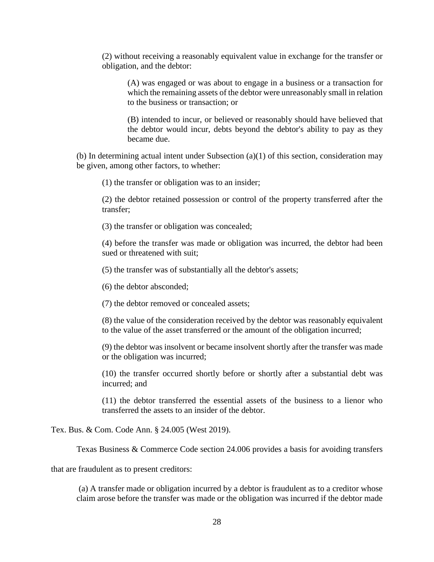(2) without receiving a reasonably equivalent value in exchange for the transfer or obligation, and the debtor:

(A) was engaged or was about to engage in a business or a transaction for which the remaining assets of the debtor were unreasonably small in relation to the business or transaction; or

(B) intended to incur, or believed or reasonably should have believed that the debtor would incur, debts beyond the debtor's ability to pay as they became due.

(b) In determining actual intent under Subsection (a)(1) of this section, consideration may be given, among other factors, to whether:

(1) the transfer or obligation was to an insider;

(2) the debtor retained possession or control of the property transferred after the transfer;

(3) the transfer or obligation was concealed;

(4) before the transfer was made or obligation was incurred, the debtor had been sued or threatened with suit;

(5) the transfer was of substantially all the debtor's assets;

(6) the debtor absconded;

(7) the debtor removed or concealed assets;

(8) the value of the consideration received by the debtor was reasonably equivalent to the value of the asset transferred or the amount of the obligation incurred;

(9) the debtor was insolvent or became insolvent shortly after the transfer was made or the obligation was incurred;

(10) the transfer occurred shortly before or shortly after a substantial debt was incurred; and

(11) the debtor transferred the essential assets of the business to a lienor who transferred the assets to an insider of the debtor.

Tex. Bus. & Com. Code Ann. § 24.005 (West 2019).

Texas Business & Commerce Code section 24.006 provides a basis for avoiding transfers

that are fraudulent as to present creditors:

(a) A transfer made or obligation incurred by a debtor is fraudulent as to a creditor whose claim arose before the transfer was made or the obligation was incurred if the debtor made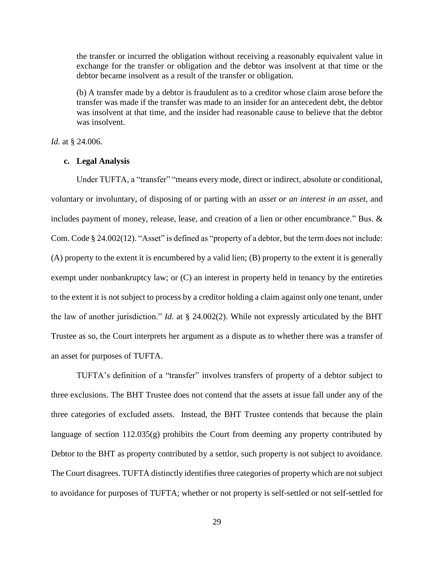the transfer or incurred the obligation without receiving a reasonably equivalent value in exchange for the transfer or obligation and the debtor was insolvent at that time or the debtor became insolvent as a result of the transfer or obligation.

(b) A transfer made by a debtor is fraudulent as to a creditor whose claim arose before the transfer was made if the transfer was made to an insider for an antecedent debt, the debtor was insolvent at that time, and the insider had reasonable cause to believe that the debtor was insolvent.

*Id.* at § 24.006.

### **c. Legal Analysis**

Under TUFTA, a "transfer" "means every mode, direct or indirect, absolute or conditional, voluntary or involuntary, of disposing of or parting with an *asset or an interest in an asset*, and includes payment of money, release, lease, and creation of a lien or other encumbrance." Bus. & Com. Code § 24.002(12). "Asset" is defined as "property of a debtor, but the term does not include: (A) property to the extent it is encumbered by a valid lien; (B) property to the extent it is generally exempt under nonbankruptcy law; or  $(C)$  an interest in property held in tenancy by the entireties to the extent it is not subject to process by a creditor holding a claim against only one tenant, under the law of another jurisdiction." *Id.* at § 24.002(2). While not expressly articulated by the BHT Trustee as so, the Court interprets her argument as a dispute as to whether there was a transfer of an asset for purposes of TUFTA.

TUFTA's definition of a "transfer" involves transfers of property of a debtor subject to three exclusions. The BHT Trustee does not contend that the assets at issue fall under any of the three categories of excluded assets. Instead, the BHT Trustee contends that because the plain language of section 112.035(g) prohibits the Court from deeming any property contributed by Debtor to the BHT as property contributed by a settlor, such property is not subject to avoidance. The Court disagrees. TUFTA distinctly identifies three categories of property which are not subject to avoidance for purposes of TUFTA; whether or not property is self-settled or not self-settled for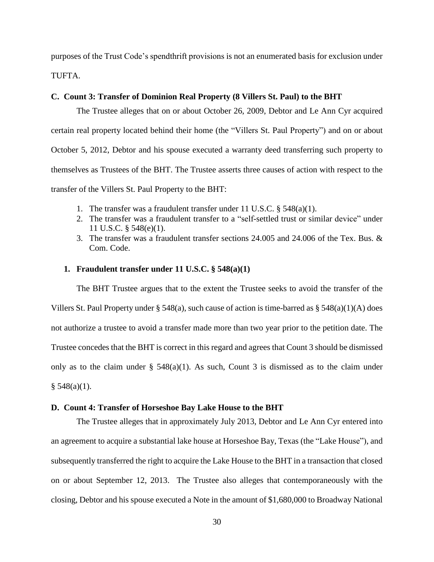purposes of the Trust Code's spendthrift provisions is not an enumerated basis for exclusion under TUFTA.

# **C. Count 3: Transfer of Dominion Real Property (8 Villers St. Paul) to the BHT**

The Trustee alleges that on or about October 26, 2009, Debtor and Le Ann Cyr acquired certain real property located behind their home (the "Villers St. Paul Property") and on or about October 5, 2012, Debtor and his spouse executed a warranty deed transferring such property to themselves as Trustees of the BHT. The Trustee asserts three causes of action with respect to the transfer of the Villers St. Paul Property to the BHT:

- 1. The transfer was a fraudulent transfer under 11 U.S.C. § 548(a)(1).
- 2. The transfer was a fraudulent transfer to a "self-settled trust or similar device" under 11 U.S.C. § 548(e)(1).
- 3. The transfer was a fraudulent transfer sections 24.005 and 24.006 of the Tex. Bus. & Com. Code.

# **1. Fraudulent transfer under 11 U.S.C. § 548(a)(1)**

The BHT Trustee argues that to the extent the Trustee seeks to avoid the transfer of the Villers St. Paul Property under § 548(a), such cause of action is time-barred as § 548(a)(1)(A) does not authorize a trustee to avoid a transfer made more than two year prior to the petition date. The Trustee concedes that the BHT is correct in this regard and agrees that Count 3 should be dismissed only as to the claim under  $\S$  548(a)(1). As such, Count 3 is dismissed as to the claim under  $§ 548(a)(1).$ 

# **D. Count 4: Transfer of Horseshoe Bay Lake House to the BHT**

The Trustee alleges that in approximately July 2013, Debtor and Le Ann Cyr entered into an agreement to acquire a substantial lake house at Horseshoe Bay, Texas (the "Lake House"), and subsequently transferred the right to acquire the Lake House to the BHT in a transaction that closed on or about September 12, 2013. The Trustee also alleges that contemporaneously with the closing, Debtor and his spouse executed a Note in the amount of \$1,680,000 to Broadway National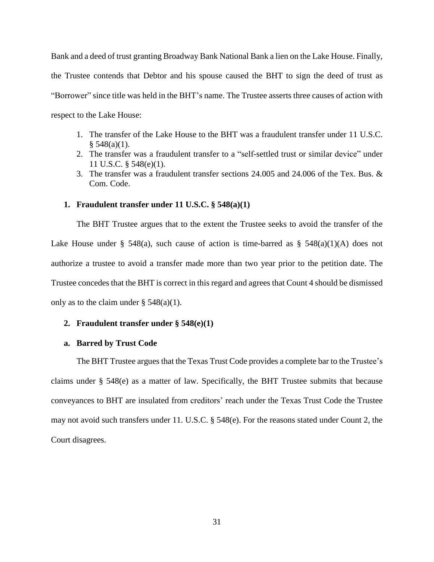Bank and a deed of trust granting Broadway Bank National Bank a lien on the Lake House. Finally, the Trustee contends that Debtor and his spouse caused the BHT to sign the deed of trust as "Borrower" since title was held in the BHT's name. The Trustee asserts three causes of action with respect to the Lake House:

- 1. The transfer of the Lake House to the BHT was a fraudulent transfer under 11 U.S.C.  $§ 548(a)(1).$
- 2. The transfer was a fraudulent transfer to a "self-settled trust or similar device" under 11 U.S.C. § 548(e)(1).
- 3. The transfer was a fraudulent transfer sections 24.005 and 24.006 of the Tex. Bus. & Com. Code.

# **1. Fraudulent transfer under 11 U.S.C. § 548(a)(1)**

The BHT Trustee argues that to the extent the Trustee seeks to avoid the transfer of the Lake House under § 548(a), such cause of action is time-barred as § 548(a)(1)(A) does not authorize a trustee to avoid a transfer made more than two year prior to the petition date. The Trustee concedes that the BHT is correct in this regard and agrees that Count 4 should be dismissed only as to the claim under  $\S$  548(a)(1).

### **2. Fraudulent transfer under § 548(e)(1)**

#### **a. Barred by Trust Code**

The BHT Trustee argues that the Texas Trust Code provides a complete bar to the Trustee's claims under § 548(e) as a matter of law. Specifically, the BHT Trustee submits that because conveyances to BHT are insulated from creditors' reach under the Texas Trust Code the Trustee may not avoid such transfers under 11. U.S.C. § 548(e). For the reasons stated under Count 2, the Court disagrees.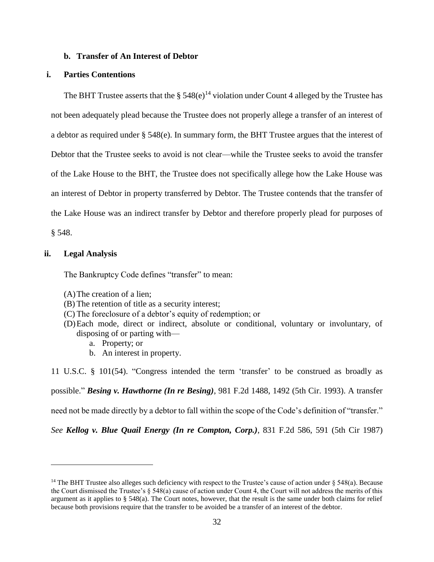#### **b. Transfer of An Interest of Debtor**

# **i. Parties Contentions**

The BHT Trustee asserts that the  $\S 548(e)^{14}$  violation under Count 4 alleged by the Trustee has not been adequately plead because the Trustee does not properly allege a transfer of an interest of a debtor as required under § 548(e). In summary form, the BHT Trustee argues that the interest of Debtor that the Trustee seeks to avoid is not clear—while the Trustee seeks to avoid the transfer of the Lake House to the BHT, the Trustee does not specifically allege how the Lake House was an interest of Debtor in property transferred by Debtor. The Trustee contends that the transfer of the Lake House was an indirect transfer by Debtor and therefore properly plead for purposes of § 548.

### **ii. Legal Analysis**

 $\overline{a}$ 

The Bankruptcy Code defines "transfer" to mean:

- (A)The creation of a lien;
- (B) The retention of title as a security interest;
- (C) The foreclosure of a debtor's equity of redemption; or
- (D)Each mode, direct or indirect, absolute or conditional, voluntary or involuntary, of disposing of or parting with
	- a. Property; or
	- b. An interest in property.

11 U.S.C. § 101(54). "Congress intended the term 'transfer' to be construed as broadly as

possible." *Besing v. Hawthorne (In re Besing)*, 981 F.2d 1488, 1492 (5th Cir. 1993). A transfer

need not be made directly by a debtor to fall within the scope of the Code's definition of "transfer."

*See Kellog v. Blue Quail Energy (In re Compton, Corp.)*, 831 F.2d 586, 591 (5th Cir 1987)

<sup>&</sup>lt;sup>14</sup> The BHT Trustee also alleges such deficiency with respect to the Trustee's cause of action under  $\S 548(a)$ . Because the Court dismissed the Trustee's  $\S 548(a)$  cause of action under Count 4, the Court will not address the merits of this argument as it applies to § 548(a). The Court notes, however, that the result is the same under both claims for relief because both provisions require that the transfer to be avoided be a transfer of an interest of the debtor.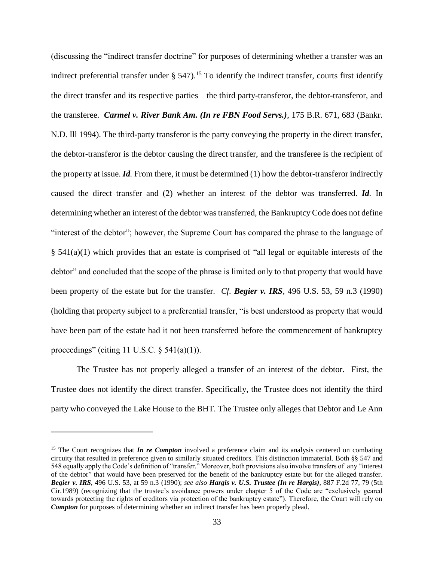(discussing the "indirect transfer doctrine" for purposes of determining whether a transfer was an indirect preferential transfer under  $\S$  547).<sup>15</sup> To identify the indirect transfer, courts first identify the direct transfer and its respective parties—the third party-transferor, the debtor-transferor, and the transferee. *Carmel v. River Bank Am. (In re FBN Food Servs.)*, 175 B.R. 671, 683 (Bankr. N.D. Ill 1994). The third-party transferor is the party conveying the property in the direct transfer, the debtor-transferor is the debtor causing the direct transfer, and the transferee is the recipient of the property at issue. *Id.* From there, it must be determined (1) how the debtor-transferor indirectly caused the direct transfer and (2) whether an interest of the debtor was transferred. *Id.* In determining whether an interest of the debtor was transferred, the Bankruptcy Code does not define "interest of the debtor"; however, the Supreme Court has compared the phrase to the language of  $§$  541(a)(1) which provides that an estate is comprised of "all legal or equitable interests of the debtor" and concluded that the scope of the phrase is limited only to that property that would have been property of the estate but for the transfer. *Cf. Begier v. IRS*, 496 U.S. 53, 59 n.3 (1990) (holding that property subject to a preferential transfer, "is best understood as property that would have been part of the estate had it not been transferred before the commencement of bankruptcy proceedings" (citing 11 U.S.C.  $\S$  541(a)(1)).

The Trustee has not properly alleged a transfer of an interest of the debtor. First, the Trustee does not identify the direct transfer. Specifically, the Trustee does not identify the third party who conveyed the Lake House to the BHT. The Trustee only alleges that Debtor and Le Ann

<sup>&</sup>lt;sup>15</sup> The Court recognizes that *In re Compton* involved a preference claim and its analysis centered on combating circuity that resulted in preference given to similarly situated creditors. This distinction immaterial. Both §§ 547 and 548 equally apply the Code's definition of "transfer." Moreover, both provisions also involve transfers of any "interest of the debtor" that would have been preserved for the benefit of the bankruptcy estate but for the alleged transfer. *Begier v. IRS*, 496 U.S. 53, at 59 n.3 (1990); *see also Hargis v. U.S. Trustee (In re Hargis),* 887 F.2d 77, 79 (5th Cir.1989) (recognizing that the trustee's avoidance powers under chapter 5 of the Code are "exclusively geared towards protecting the rights of creditors via protection of the bankruptcy estate"). Therefore, the Court will rely on *Compton* for purposes of determining whether an indirect transfer has been properly plead.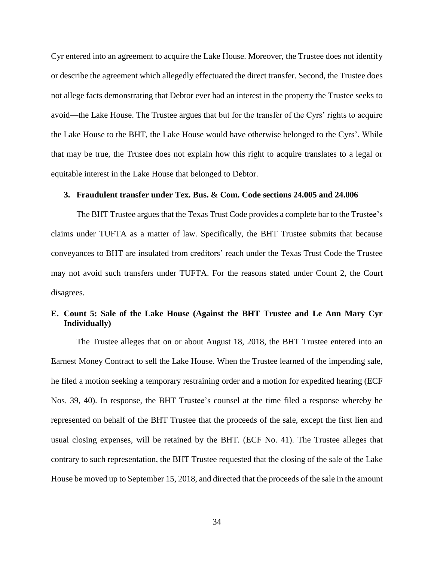Cyr entered into an agreement to acquire the Lake House. Moreover, the Trustee does not identify or describe the agreement which allegedly effectuated the direct transfer. Second, the Trustee does not allege facts demonstrating that Debtor ever had an interest in the property the Trustee seeks to avoid—the Lake House. The Trustee argues that but for the transfer of the Cyrs' rights to acquire the Lake House to the BHT, the Lake House would have otherwise belonged to the Cyrs'. While that may be true, the Trustee does not explain how this right to acquire translates to a legal or equitable interest in the Lake House that belonged to Debtor.

# **3. Fraudulent transfer under Tex. Bus. & Com. Code sections 24.005 and 24.006**

The BHT Trustee argues that the Texas Trust Code provides a complete bar to the Trustee's claims under TUFTA as a matter of law. Specifically, the BHT Trustee submits that because conveyances to BHT are insulated from creditors' reach under the Texas Trust Code the Trustee may not avoid such transfers under TUFTA. For the reasons stated under Count 2, the Court disagrees.

# **E. Count 5: Sale of the Lake House (Against the BHT Trustee and Le Ann Mary Cyr Individually)**

The Trustee alleges that on or about August 18, 2018, the BHT Trustee entered into an Earnest Money Contract to sell the Lake House. When the Trustee learned of the impending sale, he filed a motion seeking a temporary restraining order and a motion for expedited hearing (ECF Nos. 39, 40). In response, the BHT Trustee's counsel at the time filed a response whereby he represented on behalf of the BHT Trustee that the proceeds of the sale, except the first lien and usual closing expenses, will be retained by the BHT. (ECF No. 41). The Trustee alleges that contrary to such representation, the BHT Trustee requested that the closing of the sale of the Lake House be moved up to September 15, 2018, and directed that the proceeds of the sale in the amount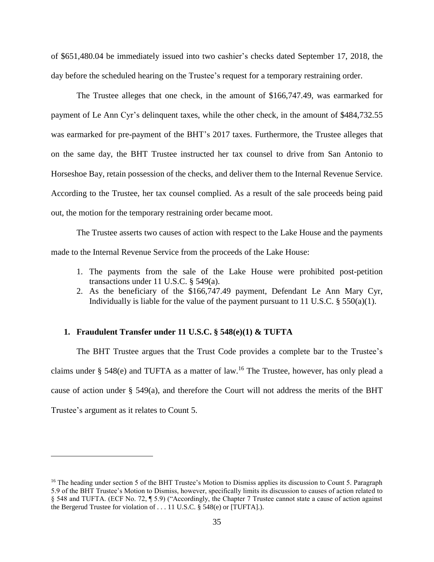of \$651,480.04 be immediately issued into two cashier's checks dated September 17, 2018, the day before the scheduled hearing on the Trustee's request for a temporary restraining order.

The Trustee alleges that one check, in the amount of \$166,747.49, was earmarked for payment of Le Ann Cyr's delinquent taxes, while the other check, in the amount of \$484,732.55 was earmarked for pre-payment of the BHT's 2017 taxes. Furthermore, the Trustee alleges that on the same day, the BHT Trustee instructed her tax counsel to drive from San Antonio to Horseshoe Bay, retain possession of the checks, and deliver them to the Internal Revenue Service. According to the Trustee, her tax counsel complied. As a result of the sale proceeds being paid out, the motion for the temporary restraining order became moot.

The Trustee asserts two causes of action with respect to the Lake House and the payments made to the Internal Revenue Service from the proceeds of the Lake House:

- 1. The payments from the sale of the Lake House were prohibited post-petition transactions under 11 U.S.C. § 549(a).
- 2. As the beneficiary of the \$166,747.49 payment, Defendant Le Ann Mary Cyr, Individually is liable for the value of the payment pursuant to 11 U.S.C.  $\S$  550(a)(1).

# **1. Fraudulent Transfer under 11 U.S.C. § 548(e)(1) & TUFTA**

 $\overline{a}$ 

The BHT Trustee argues that the Trust Code provides a complete bar to the Trustee's claims under § 548(e) and TUFTA as a matter of law.<sup>16</sup> The Trustee, however, has only plead a cause of action under § 549(a), and therefore the Court will not address the merits of the BHT Trustee's argument as it relates to Count 5.

<sup>&</sup>lt;sup>16</sup> The heading under section 5 of the BHT Trustee's Motion to Dismiss applies its discussion to Count 5. Paragraph 5.9 of the BHT Trustee's Motion to Dismiss, however, specifically limits its discussion to causes of action related to § 548 and TUFTA. (ECF No. 72, ¶ 5.9) ("Accordingly, the Chapter 7 Trustee cannot state a cause of action against the Bergerud Trustee for violation of . . . 11 U.S.C. § 548(e) or [TUFTA].).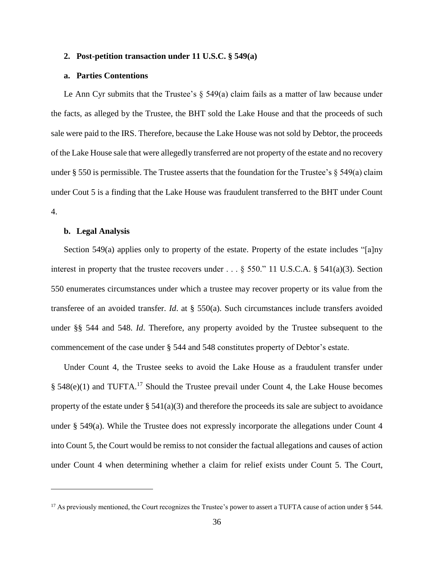## **2. Post-petition transaction under 11 U.S.C. § 549(a)**

# **a. Parties Contentions**

Le Ann Cyr submits that the Trustee's  $\S$  549(a) claim fails as a matter of law because under the facts, as alleged by the Trustee, the BHT sold the Lake House and that the proceeds of such sale were paid to the IRS. Therefore, because the Lake House was not sold by Debtor, the proceeds of the Lake House sale that were allegedly transferred are not property of the estate and no recovery under  $\S$  550 is permissible. The Trustee asserts that the foundation for the Trustee's  $\S$  549(a) claim under Cout 5 is a finding that the Lake House was fraudulent transferred to the BHT under Count 4.

# **b. Legal Analysis**

 $\overline{a}$ 

Section 549(a) applies only to property of the estate. Property of the estate includes "[a]ny interest in property that the trustee recovers under . . . § 550." 11 U.S.C.A. § 541(a)(3). Section 550 enumerates circumstances under which a trustee may recover property or its value from the transferee of an avoided transfer. *Id*. at § 550(a). Such circumstances include transfers avoided under §§ 544 and 548. *Id*. Therefore, any property avoided by the Trustee subsequent to the commencement of the case under § 544 and 548 constitutes property of Debtor's estate.

Under Count 4, the Trustee seeks to avoid the Lake House as a fraudulent transfer under  $§$  548(e)(1) and TUFTA.<sup>17</sup> Should the Trustee prevail under Count 4, the Lake House becomes property of the estate under  $\S$  541(a)(3) and therefore the proceeds its sale are subject to avoidance under § 549(a). While the Trustee does not expressly incorporate the allegations under Count 4 into Count 5, the Court would be remiss to not consider the factual allegations and causes of action under Count 4 when determining whether a claim for relief exists under Count 5. The Court,

<sup>&</sup>lt;sup>17</sup> As previously mentioned, the Court recognizes the Trustee's power to assert a TUFTA cause of action under § 544.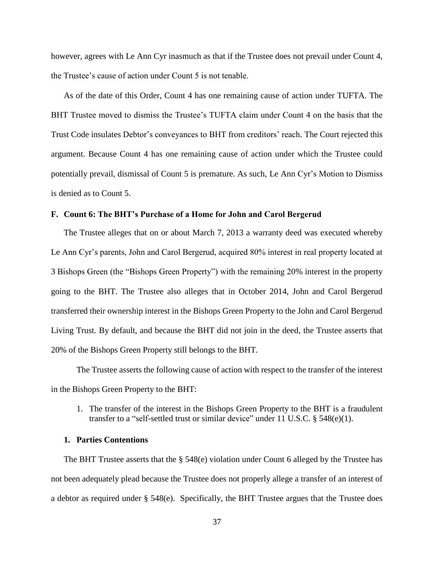however, agrees with Le Ann Cyr inasmuch as that if the Trustee does not prevail under Count 4, the Trustee's cause of action under Count 5 is not tenable.

As of the date of this Order, Count 4 has one remaining cause of action under TUFTA. The BHT Trustee moved to dismiss the Trustee's TUFTA claim under Count 4 on the basis that the Trust Code insulates Debtor's conveyances to BHT from creditors' reach. The Court rejected this argument. Because Count 4 has one remaining cause of action under which the Trustee could potentially prevail, dismissal of Count 5 is premature. As such, Le Ann Cyr's Motion to Dismiss is denied as to Count 5.

# **F. Count 6: The BHT's Purchase of a Home for John and Carol Bergerud**

The Trustee alleges that on or about March 7, 2013 a warranty deed was executed whereby Le Ann Cyr's parents, John and Carol Bergerud, acquired 80% interest in real property located at 3 Bishops Green (the "Bishops Green Property") with the remaining 20% interest in the property going to the BHT. The Trustee also alleges that in October 2014, John and Carol Bergerud transferred their ownership interest in the Bishops Green Property to the John and Carol Bergerud Living Trust. By default, and because the BHT did not join in the deed, the Trustee asserts that 20% of the Bishops Green Property still belongs to the BHT.

The Trustee asserts the following cause of action with respect to the transfer of the interest in the Bishops Green Property to the BHT:

1. The transfer of the interest in the Bishops Green Property to the BHT is a fraudulent transfer to a "self-settled trust or similar device" under 11 U.S.C. § 548(e)(1).

# **1. Parties Contentions**

The BHT Trustee asserts that the § 548(e) violation under Count 6 alleged by the Trustee has not been adequately plead because the Trustee does not properly allege a transfer of an interest of a debtor as required under § 548(e). Specifically, the BHT Trustee argues that the Trustee does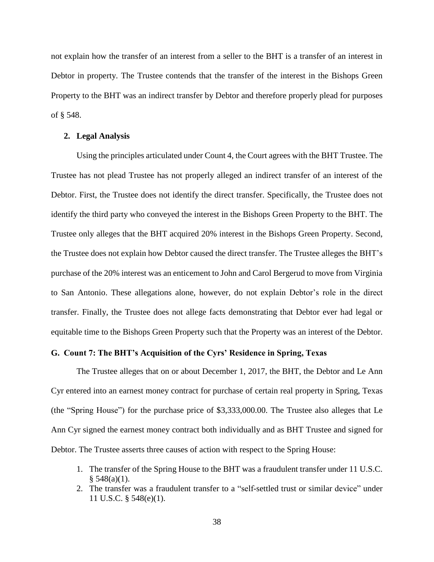not explain how the transfer of an interest from a seller to the BHT is a transfer of an interest in Debtor in property. The Trustee contends that the transfer of the interest in the Bishops Green Property to the BHT was an indirect transfer by Debtor and therefore properly plead for purposes of § 548.

#### **2. Legal Analysis**

Using the principles articulated under Count 4, the Court agrees with the BHT Trustee. The Trustee has not plead Trustee has not properly alleged an indirect transfer of an interest of the Debtor. First, the Trustee does not identify the direct transfer. Specifically, the Trustee does not identify the third party who conveyed the interest in the Bishops Green Property to the BHT. The Trustee only alleges that the BHT acquired 20% interest in the Bishops Green Property. Second, the Trustee does not explain how Debtor caused the direct transfer. The Trustee alleges the BHT's purchase of the 20% interest was an enticement to John and Carol Bergerud to move from Virginia to San Antonio. These allegations alone, however, do not explain Debtor's role in the direct transfer. Finally, the Trustee does not allege facts demonstrating that Debtor ever had legal or equitable time to the Bishops Green Property such that the Property was an interest of the Debtor.

# **G. Count 7: The BHT's Acquisition of the Cyrs' Residence in Spring, Texas**

The Trustee alleges that on or about December 1, 2017, the BHT, the Debtor and Le Ann Cyr entered into an earnest money contract for purchase of certain real property in Spring, Texas (the "Spring House") for the purchase price of \$3,333,000.00. The Trustee also alleges that Le Ann Cyr signed the earnest money contract both individually and as BHT Trustee and signed for Debtor. The Trustee asserts three causes of action with respect to the Spring House:

- 1. The transfer of the Spring House to the BHT was a fraudulent transfer under 11 U.S.C.  $§ 548(a)(1).$
- 2. The transfer was a fraudulent transfer to a "self-settled trust or similar device" under 11 U.S.C. § 548(e)(1).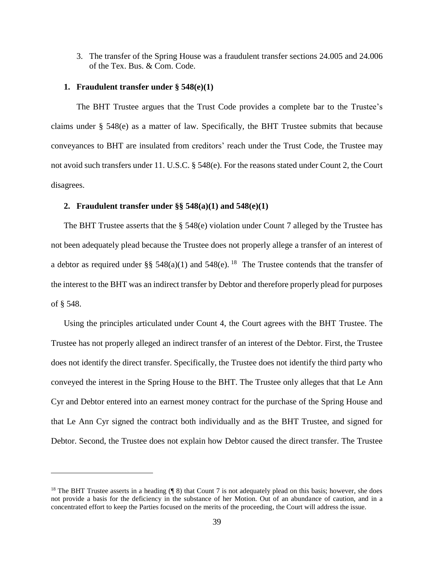3. The transfer of the Spring House was a fraudulent transfer sections 24.005 and 24.006 of the Tex. Bus. & Com. Code.

### **1. Fraudulent transfer under § 548(e)(1)**

 $\overline{a}$ 

The BHT Trustee argues that the Trust Code provides a complete bar to the Trustee's claims under § 548(e) as a matter of law. Specifically, the BHT Trustee submits that because conveyances to BHT are insulated from creditors' reach under the Trust Code, the Trustee may not avoid such transfers under 11. U.S.C. § 548(e). For the reasons stated under Count 2, the Court disagrees.

#### **2. Fraudulent transfer under §§ 548(a)(1) and 548(e)(1)**

The BHT Trustee asserts that the § 548(e) violation under Count 7 alleged by the Trustee has not been adequately plead because the Trustee does not properly allege a transfer of an interest of a debtor as required under §§  $548(a)(1)$  and  $548(e)$ . <sup>18</sup> The Trustee contends that the transfer of the interest to the BHT was an indirect transfer by Debtor and therefore properly plead for purposes of § 548.

Using the principles articulated under Count 4, the Court agrees with the BHT Trustee. The Trustee has not properly alleged an indirect transfer of an interest of the Debtor. First, the Trustee does not identify the direct transfer. Specifically, the Trustee does not identify the third party who conveyed the interest in the Spring House to the BHT. The Trustee only alleges that that Le Ann Cyr and Debtor entered into an earnest money contract for the purchase of the Spring House and that Le Ann Cyr signed the contract both individually and as the BHT Trustee, and signed for Debtor. Second, the Trustee does not explain how Debtor caused the direct transfer. The Trustee

<sup>&</sup>lt;sup>18</sup> The BHT Trustee asserts in a heading  $(\P 8)$  that Count 7 is not adequately plead on this basis; however, she does not provide a basis for the deficiency in the substance of her Motion. Out of an abundance of caution, and in a concentrated effort to keep the Parties focused on the merits of the proceeding, the Court will address the issue.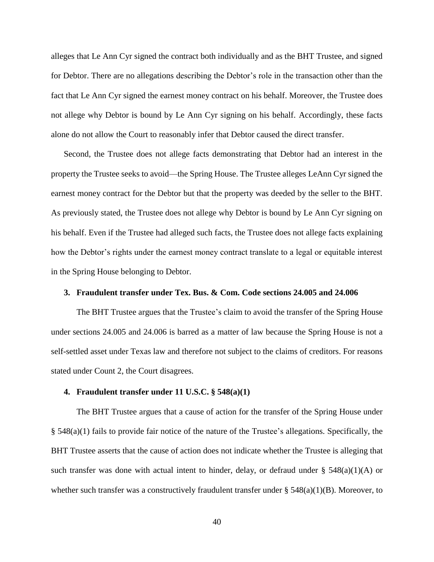alleges that Le Ann Cyr signed the contract both individually and as the BHT Trustee, and signed for Debtor. There are no allegations describing the Debtor's role in the transaction other than the fact that Le Ann Cyr signed the earnest money contract on his behalf. Moreover, the Trustee does not allege why Debtor is bound by Le Ann Cyr signing on his behalf. Accordingly, these facts alone do not allow the Court to reasonably infer that Debtor caused the direct transfer.

Second, the Trustee does not allege facts demonstrating that Debtor had an interest in the property the Trustee seeks to avoid—the Spring House. The Trustee alleges LeAnn Cyr signed the earnest money contract for the Debtor but that the property was deeded by the seller to the BHT. As previously stated, the Trustee does not allege why Debtor is bound by Le Ann Cyr signing on his behalf. Even if the Trustee had alleged such facts, the Trustee does not allege facts explaining how the Debtor's rights under the earnest money contract translate to a legal or equitable interest in the Spring House belonging to Debtor.

## **3. Fraudulent transfer under Tex. Bus. & Com. Code sections 24.005 and 24.006**

The BHT Trustee argues that the Trustee's claim to avoid the transfer of the Spring House under sections 24.005 and 24.006 is barred as a matter of law because the Spring House is not a self-settled asset under Texas law and therefore not subject to the claims of creditors. For reasons stated under Count 2, the Court disagrees.

# **4. Fraudulent transfer under 11 U.S.C. § 548(a)(1)**

The BHT Trustee argues that a cause of action for the transfer of the Spring House under § 548(a)(1) fails to provide fair notice of the nature of the Trustee's allegations. Specifically, the BHT Trustee asserts that the cause of action does not indicate whether the Trustee is alleging that such transfer was done with actual intent to hinder, delay, or defraud under § 548(a)(1)(A) or whether such transfer was a constructively fraudulent transfer under § 548(a)(1)(B). Moreover, to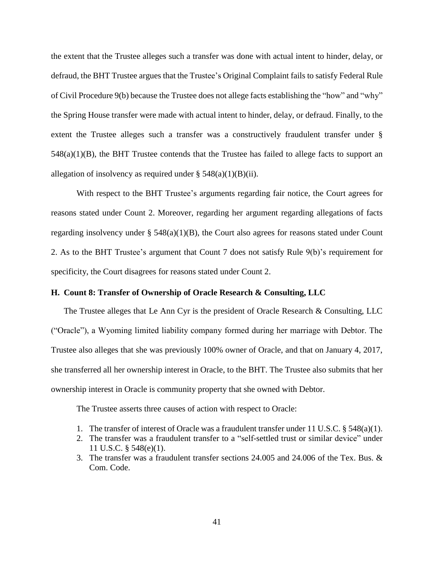the extent that the Trustee alleges such a transfer was done with actual intent to hinder, delay, or defraud, the BHT Trustee argues that the Trustee's Original Complaint fails to satisfy Federal Rule of Civil Procedure 9(b) because the Trustee does not allege facts establishing the "how" and "why" the Spring House transfer were made with actual intent to hinder, delay, or defraud. Finally, to the extent the Trustee alleges such a transfer was a constructively fraudulent transfer under § 548(a)(1)(B), the BHT Trustee contends that the Trustee has failed to allege facts to support an allegation of insolvency as required under  $\S$  548(a)(1)(B)(ii).

With respect to the BHT Trustee's arguments regarding fair notice, the Court agrees for reasons stated under Count 2. Moreover, regarding her argument regarding allegations of facts regarding insolvency under  $\S$  548(a)(1)(B), the Court also agrees for reasons stated under Count 2. As to the BHT Trustee's argument that Count 7 does not satisfy Rule 9(b)'s requirement for specificity, the Court disagrees for reasons stated under Count 2.

# **H. Count 8: Transfer of Ownership of Oracle Research & Consulting, LLC**

The Trustee alleges that Le Ann Cyr is the president of Oracle Research & Consulting, LLC ("Oracle"), a Wyoming limited liability company formed during her marriage with Debtor. The Trustee also alleges that she was previously 100% owner of Oracle, and that on January 4, 2017, she transferred all her ownership interest in Oracle, to the BHT. The Trustee also submits that her ownership interest in Oracle is community property that she owned with Debtor.

The Trustee asserts three causes of action with respect to Oracle:

- 1. The transfer of interest of Oracle was a fraudulent transfer under 11 U.S.C. § 548(a)(1).
- 2. The transfer was a fraudulent transfer to a "self-settled trust or similar device" under 11 U.S.C. § 548(e)(1).
- 3. The transfer was a fraudulent transfer sections 24.005 and 24.006 of the Tex. Bus. & Com. Code.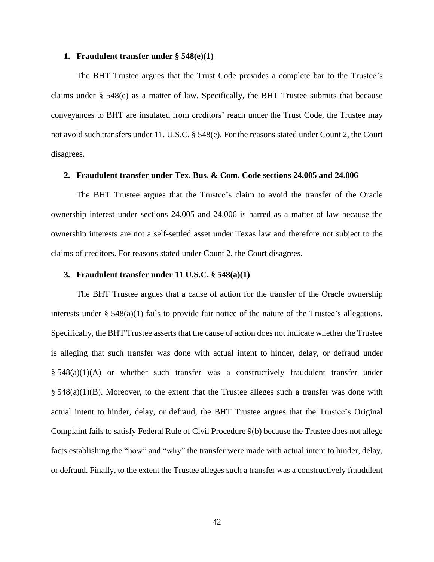#### **1. Fraudulent transfer under § 548(e)(1)**

The BHT Trustee argues that the Trust Code provides a complete bar to the Trustee's claims under § 548(e) as a matter of law. Specifically, the BHT Trustee submits that because conveyances to BHT are insulated from creditors' reach under the Trust Code, the Trustee may not avoid such transfers under 11. U.S.C. § 548(e). For the reasons stated under Count 2, the Court disagrees.

#### **2. Fraudulent transfer under Tex. Bus. & Com. Code sections 24.005 and 24.006**

The BHT Trustee argues that the Trustee's claim to avoid the transfer of the Oracle ownership interest under sections 24.005 and 24.006 is barred as a matter of law because the ownership interests are not a self-settled asset under Texas law and therefore not subject to the claims of creditors. For reasons stated under Count 2, the Court disagrees.

## **3. Fraudulent transfer under 11 U.S.C. § 548(a)(1)**

The BHT Trustee argues that a cause of action for the transfer of the Oracle ownership interests under  $\S$  548(a)(1) fails to provide fair notice of the nature of the Trustee's allegations. Specifically, the BHT Trustee asserts that the cause of action does not indicate whether the Trustee is alleging that such transfer was done with actual intent to hinder, delay, or defraud under  $§$  548(a)(1)(A) or whether such transfer was a constructively fraudulent transfer under  $\S$  548(a)(1)(B). Moreover, to the extent that the Trustee alleges such a transfer was done with actual intent to hinder, delay, or defraud, the BHT Trustee argues that the Trustee's Original Complaint fails to satisfy Federal Rule of Civil Procedure 9(b) because the Trustee does not allege facts establishing the "how" and "why" the transfer were made with actual intent to hinder, delay, or defraud. Finally, to the extent the Trustee alleges such a transfer was a constructively fraudulent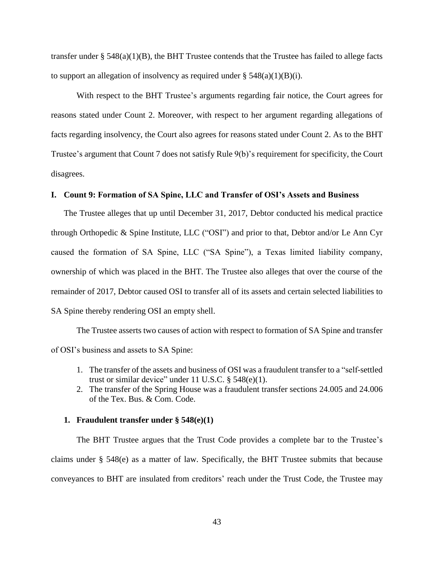transfer under § 548(a)(1)(B), the BHT Trustee contends that the Trustee has failed to allege facts to support an allegation of insolvency as required under  $\S$  548(a)(1)(B)(i).

With respect to the BHT Trustee's arguments regarding fair notice, the Court agrees for reasons stated under Count 2. Moreover, with respect to her argument regarding allegations of facts regarding insolvency, the Court also agrees for reasons stated under Count 2. As to the BHT Trustee's argument that Count 7 does not satisfy Rule 9(b)'s requirement for specificity, the Court disagrees.

# **I. Count 9: Formation of SA Spine, LLC and Transfer of OSI's Assets and Business**

The Trustee alleges that up until December 31, 2017, Debtor conducted his medical practice through Orthopedic & Spine Institute, LLC ("OSI") and prior to that, Debtor and/or Le Ann Cyr caused the formation of SA Spine, LLC ("SA Spine"), a Texas limited liability company, ownership of which was placed in the BHT. The Trustee also alleges that over the course of the remainder of 2017, Debtor caused OSI to transfer all of its assets and certain selected liabilities to SA Spine thereby rendering OSI an empty shell.

The Trustee asserts two causes of action with respect to formation of SA Spine and transfer of OSI's business and assets to SA Spine:

- 1. The transfer of the assets and business of OSI was a fraudulent transfer to a "self-settled trust or similar device" under  $11$  U.S.C.  $§$  548(e)(1).
- 2. The transfer of the Spring House was a fraudulent transfer sections 24.005 and 24.006 of the Tex. Bus. & Com. Code.

#### **1. Fraudulent transfer under § 548(e)(1)**

The BHT Trustee argues that the Trust Code provides a complete bar to the Trustee's claims under § 548(e) as a matter of law. Specifically, the BHT Trustee submits that because conveyances to BHT are insulated from creditors' reach under the Trust Code, the Trustee may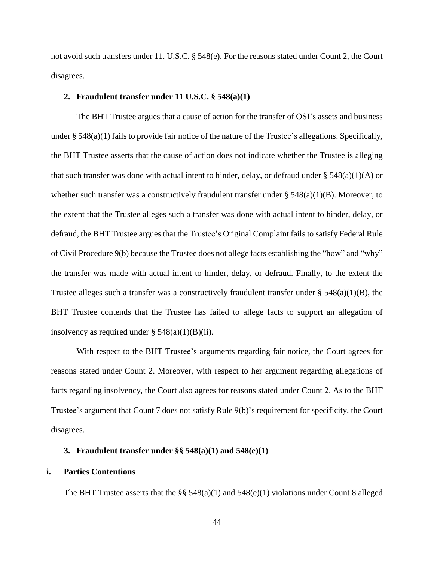not avoid such transfers under 11. U.S.C. § 548(e). For the reasons stated under Count 2, the Court disagrees.

#### **2. Fraudulent transfer under 11 U.S.C. § 548(a)(1)**

The BHT Trustee argues that a cause of action for the transfer of OSI's assets and business under § 548(a)(1) fails to provide fair notice of the nature of the Trustee's allegations. Specifically, the BHT Trustee asserts that the cause of action does not indicate whether the Trustee is alleging that such transfer was done with actual intent to hinder, delay, or defraud under  $\S$  548(a)(1)(A) or whether such transfer was a constructively fraudulent transfer under § 548(a)(1)(B). Moreover, to the extent that the Trustee alleges such a transfer was done with actual intent to hinder, delay, or defraud, the BHT Trustee argues that the Trustee's Original Complaint fails to satisfy Federal Rule of Civil Procedure 9(b) because the Trustee does not allege facts establishing the "how" and "why" the transfer was made with actual intent to hinder, delay, or defraud. Finally, to the extent the Trustee alleges such a transfer was a constructively fraudulent transfer under  $\S$  548(a)(1)(B), the BHT Trustee contends that the Trustee has failed to allege facts to support an allegation of insolvency as required under  $\S$  548(a)(1)(B)(ii).

With respect to the BHT Trustee's arguments regarding fair notice, the Court agrees for reasons stated under Count 2. Moreover, with respect to her argument regarding allegations of facts regarding insolvency, the Court also agrees for reasons stated under Count 2. As to the BHT Trustee's argument that Count 7 does not satisfy Rule 9(b)'s requirement for specificity, the Court disagrees.

## **3. Fraudulent transfer under §§ 548(a)(1) and 548(e)(1)**

# **i. Parties Contentions**

The BHT Trustee asserts that the  $\S$ § 548(a)(1) and 548(e)(1) violations under Count 8 alleged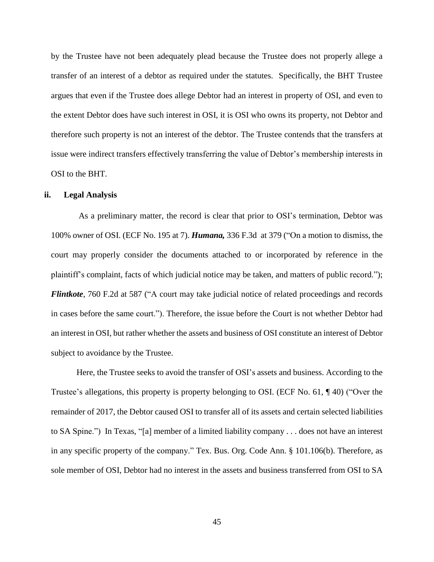by the Trustee have not been adequately plead because the Trustee does not properly allege a transfer of an interest of a debtor as required under the statutes. Specifically, the BHT Trustee argues that even if the Trustee does allege Debtor had an interest in property of OSI, and even to the extent Debtor does have such interest in OSI, it is OSI who owns its property, not Debtor and therefore such property is not an interest of the debtor. The Trustee contends that the transfers at issue were indirect transfers effectively transferring the value of Debtor's membership interests in OSI to the BHT.

### **ii. Legal Analysis**

As a preliminary matter, the record is clear that prior to OSI's termination, Debtor was 100% owner of OSI. (ECF No. 195 at 7). *Humana,* 336 F.3d at 379 ("On a motion to dismiss, the court may properly consider the documents attached to or incorporated by reference in the plaintiff's complaint, facts of which judicial notice may be taken, and matters of public record."); *Flintkote*, 760 F.2d at 587 ("A court may take judicial notice of related proceedings and records in cases before the same court."). Therefore, the issue before the Court is not whether Debtor had an interest in OSI, but rather whether the assets and business of OSI constitute an interest of Debtor subject to avoidance by the Trustee.

Here, the Trustee seeks to avoid the transfer of OSI's assets and business. According to the Trustee's allegations, this property is property belonging to OSI. (ECF No. 61, ¶ 40) ("Over the remainder of 2017, the Debtor caused OSI to transfer all of its assets and certain selected liabilities to SA Spine.") In Texas, "[a] member of a limited liability company . . . does not have an interest in any specific property of the company." Tex. Bus. Org. Code Ann. § 101.106(b). Therefore, as sole member of OSI, Debtor had no interest in the assets and business transferred from OSI to SA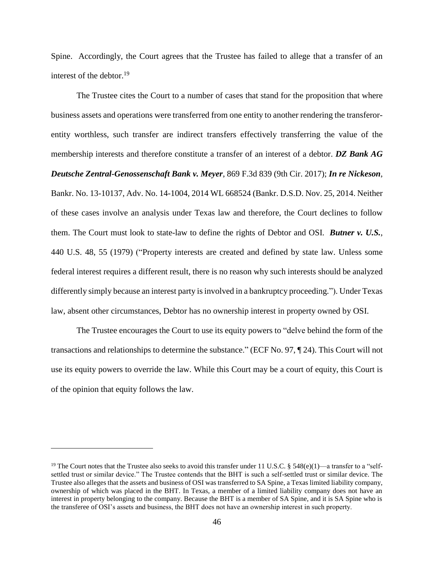Spine. Accordingly, the Court agrees that the Trustee has failed to allege that a transfer of an interest of the debtor. $19$ 

The Trustee cites the Court to a number of cases that stand for the proposition that where business assets and operations were transferred from one entity to another rendering the transferorentity worthless, such transfer are indirect transfers effectively transferring the value of the membership interests and therefore constitute a transfer of an interest of a debtor. *DZ Bank AG Deutsche Zentral-Genossenschaft Bank v. Meyer*, 869 F.3d 839 (9th Cir. 2017); *In re Nickeson*, Bankr. No. 13-10137, Adv. No. 14-1004, 2014 WL 668524 (Bankr. D.S.D. Nov. 25, 2014. Neither of these cases involve an analysis under Texas law and therefore, the Court declines to follow them. The Court must look to state-law to define the rights of Debtor and OSI. *Butner v. U.S.*, 440 U.S. 48, 55 (1979) ("Property interests are created and defined by state law. Unless some federal interest requires a different result, there is no reason why such interests should be analyzed differently simply because an interest party is involved in a bankruptcy proceeding."). Under Texas law, absent other circumstances, Debtor has no ownership interest in property owned by OSI.

The Trustee encourages the Court to use its equity powers to "delve behind the form of the transactions and relationships to determine the substance." (ECF No. 97, ¶ 24). This Court will not use its equity powers to override the law. While this Court may be a court of equity, this Court is of the opinion that equity follows the law.

<sup>&</sup>lt;sup>19</sup> The Court notes that the Trustee also seeks to avoid this transfer under 11 U.S.C. § 548(e)(1)—a transfer to a "selfsettled trust or similar device." The Trustee contends that the BHT is such a self-settled trust or similar device. The Trustee also alleges that the assets and business of OSI was transferred to SA Spine, a Texas limited liability company, ownership of which was placed in the BHT. In Texas, a member of a limited liability company does not have an interest in property belonging to the company. Because the BHT is a member of SA Spine, and it is SA Spine who is the transferee of OSI's assets and business, the BHT does not have an ownership interest in such property.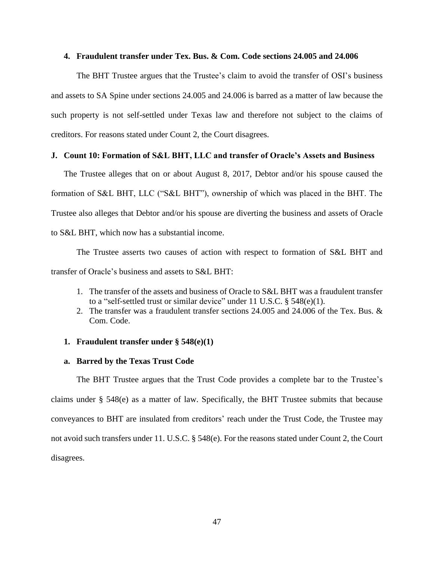#### **4. Fraudulent transfer under Tex. Bus. & Com. Code sections 24.005 and 24.006**

The BHT Trustee argues that the Trustee's claim to avoid the transfer of OSI's business and assets to SA Spine under sections 24.005 and 24.006 is barred as a matter of law because the such property is not self-settled under Texas law and therefore not subject to the claims of creditors. For reasons stated under Count 2, the Court disagrees.

### **J. Count 10: Formation of S&L BHT, LLC and transfer of Oracle's Assets and Business**

The Trustee alleges that on or about August 8, 2017, Debtor and/or his spouse caused the formation of S&L BHT, LLC ("S&L BHT"), ownership of which was placed in the BHT. The Trustee also alleges that Debtor and/or his spouse are diverting the business and assets of Oracle to S&L BHT, which now has a substantial income.

The Trustee asserts two causes of action with respect to formation of S&L BHT and transfer of Oracle's business and assets to S&L BHT:

- 1. The transfer of the assets and business of Oracle to S&L BHT was a fraudulent transfer to a "self-settled trust or similar device" under 11 U.S.C. § 548(e)(1).
- 2. The transfer was a fraudulent transfer sections 24.005 and 24.006 of the Tex. Bus. & Com. Code.

### **1. Fraudulent transfer under § 548(e)(1)**

#### **a. Barred by the Texas Trust Code**

The BHT Trustee argues that the Trust Code provides a complete bar to the Trustee's claims under § 548(e) as a matter of law. Specifically, the BHT Trustee submits that because conveyances to BHT are insulated from creditors' reach under the Trust Code, the Trustee may not avoid such transfers under 11. U.S.C. § 548(e). For the reasons stated under Count 2, the Court disagrees.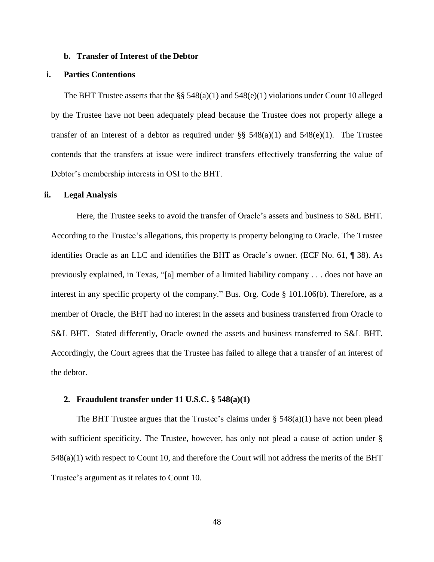#### **b. Transfer of Interest of the Debtor**

# **i. Parties Contentions**

The BHT Trustee asserts that the  $\S$ § 548(a)(1) and 548(e)(1) violations under Count 10 alleged by the Trustee have not been adequately plead because the Trustee does not properly allege a transfer of an interest of a debtor as required under §§  $548(a)(1)$  and  $548(e)(1)$ . The Trustee contends that the transfers at issue were indirect transfers effectively transferring the value of Debtor's membership interests in OSI to the BHT.

#### **ii. Legal Analysis**

Here, the Trustee seeks to avoid the transfer of Oracle's assets and business to S&L BHT. According to the Trustee's allegations, this property is property belonging to Oracle. The Trustee identifies Oracle as an LLC and identifies the BHT as Oracle's owner. (ECF No. 61, ¶ 38). As previously explained, in Texas, "[a] member of a limited liability company . . . does not have an interest in any specific property of the company." Bus. Org. Code § 101.106(b). Therefore, as a member of Oracle, the BHT had no interest in the assets and business transferred from Oracle to S&L BHT. Stated differently, Oracle owned the assets and business transferred to S&L BHT. Accordingly, the Court agrees that the Trustee has failed to allege that a transfer of an interest of the debtor.

#### **2. Fraudulent transfer under 11 U.S.C. § 548(a)(1)**

The BHT Trustee argues that the Trustee's claims under  $\S$  548(a)(1) have not been plead with sufficient specificity. The Trustee, however, has only not plead a cause of action under § 548(a)(1) with respect to Count 10, and therefore the Court will not address the merits of the BHT Trustee's argument as it relates to Count 10.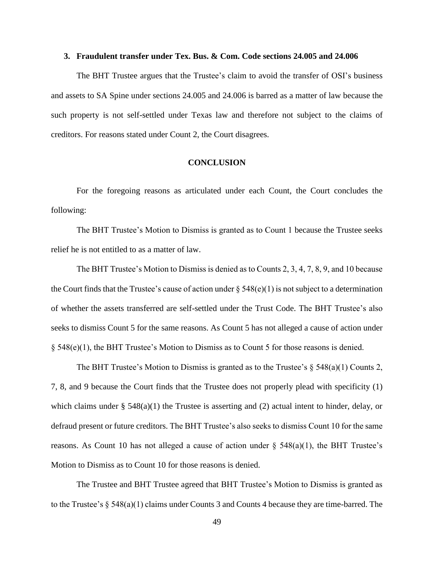#### **3. Fraudulent transfer under Tex. Bus. & Com. Code sections 24.005 and 24.006**

The BHT Trustee argues that the Trustee's claim to avoid the transfer of OSI's business and assets to SA Spine under sections 24.005 and 24.006 is barred as a matter of law because the such property is not self-settled under Texas law and therefore not subject to the claims of creditors. For reasons stated under Count 2, the Court disagrees.

## **CONCLUSION**

For the foregoing reasons as articulated under each Count, the Court concludes the following:

The BHT Trustee's Motion to Dismiss is granted as to Count 1 because the Trustee seeks relief he is not entitled to as a matter of law.

The BHT Trustee's Motion to Dismiss is denied as to Counts 2, 3, 4, 7, 8, 9, and 10 because the Court finds that the Trustee's cause of action under  $\S 548(e)(1)$  is not subject to a determination of whether the assets transferred are self-settled under the Trust Code. The BHT Trustee's also seeks to dismiss Count 5 for the same reasons. As Count 5 has not alleged a cause of action under § 548(e)(1), the BHT Trustee's Motion to Dismiss as to Count 5 for those reasons is denied.

The BHT Trustee's Motion to Dismiss is granted as to the Trustee's  $\S$  548(a)(1) Counts 2, 7, 8, and 9 because the Court finds that the Trustee does not properly plead with specificity (1) which claims under  $\S$  548(a)(1) the Trustee is asserting and (2) actual intent to hinder, delay, or defraud present or future creditors. The BHT Trustee's also seeks to dismiss Count 10 for the same reasons. As Count 10 has not alleged a cause of action under  $\S$  548(a)(1), the BHT Trustee's Motion to Dismiss as to Count 10 for those reasons is denied.

The Trustee and BHT Trustee agreed that BHT Trustee's Motion to Dismiss is granted as to the Trustee's § 548(a)(1) claims under Counts 3 and Counts 4 because they are time-barred. The